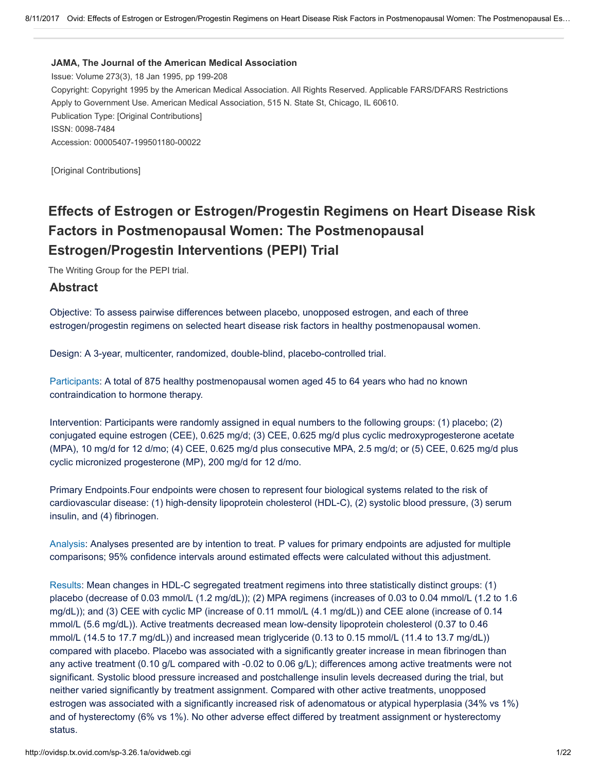#### <span id="page-0-0"></span>JAMA, The Journal of the American Medical Association

Issue: Volume 273(3), 18 Jan 1995, pp 199-208 Copyright: Copyright 1995 by the American Medical Association. All Rights Reserved. Applicable FARS/DFARS Restrictions Apply to Government Use. American Medical Association, 515 N. State St, Chicago, IL 60610. Publication Type: [Original Contributions] ISSN: 0098-7484 Accession: 00005407-199501180-00022

[Original Contributions]

# Effects of Estrogen or Estrogen/Progestin Regimens on Heart Disease Risk Factors in Postmenopausal Women: The Postmenopausal Estrogen/Progestin Interventions (PEPI) Trial

The Writing Group for the PEPI trial.

#### Abstract

Objective: To assess pairwise differences between placebo, unopposed estrogen, and each of three estrogen/progestin regimens on selected heart disease risk factors in healthy postmenopausal women.

Design: A 3-year, multicenter, randomized, double-blind, placebo-controlled trial.

[Participants:](#page-2-0) A total of 875 healthy postmenopausal women aged 45 to 64 years who had no known contraindication to hormone therapy.

Intervention: Participants were randomly assigned in equal numbers to the following groups: (1) placebo; (2) conjugated equine estrogen (CEE), 0.625 mg/d; (3) CEE, 0.625 mg/d plus cyclic medroxyprogesterone acetate (MPA), 10 mg/d for 12 d/mo; (4) CEE, 0.625 mg/d plus consecutive MPA, 2.5 mg/d; or (5) CEE, 0.625 mg/d plus cyclic micronized progesterone (MP), 200 mg/d for 12 d/mo.

Primary Endpoints.Four endpoints were chosen to represent four biological systems related to the risk of cardiovascular disease: (1) high-density lipoprotein cholesterol (HDL-C), (2) systolic blood pressure, (3) serum insulin, and (4) fibrinogen.

[Analysis:](#page-4-0) Analyses presented are by intention to treat. P values for primary endpoints are adjusted for multiple comparisons; 95% confidence intervals around estimated effects were calculated without this adjustment.

[Results:](#page-4-1) Mean changes in HDL-C segregated treatment regimens into three statistically distinct groups: (1) placebo (decrease of 0.03 mmol/L (1.2 mg/dL)); (2) MPA regimens (increases of 0.03 to 0.04 mmol/L (1.2 to 1.6 mg/dL)); and (3) CEE with cyclic MP (increase of 0.11 mmol/L (4.1 mg/dL)) and CEE alone (increase of 0.14 mmol/L (5.6 mg/dL)). Active treatments decreased mean low-density lipoprotein cholesterol (0.37 to 0.46 mmol/L (14.5 to 17.7 mg/dL)) and increased mean triglyceride (0.13 to 0.15 mmol/L (11.4 to 13.7 mg/dL)) compared with placebo. Placebo was associated with a significantly greater increase in mean fibrinogen than any active treatment (0.10 g/L compared with -0.02 to 0.06 g/L); differences among active treatments were not significant. Systolic blood pressure increased and postchallenge insulin levels decreased during the trial, but neither varied significantly by treatment assignment. Compared with other active treatments, unopposed estrogen was associated with a significantly increased risk of adenomatous or atypical hyperplasia (34% vs 1%) and of hysterectomy (6% vs 1%). No other adverse effect differed by treatment assignment or hysterectomy status.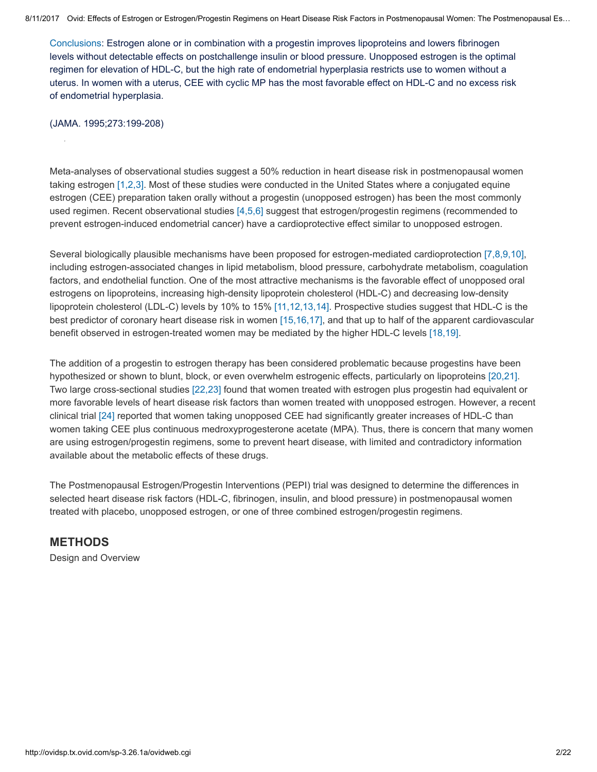[Conclusions](#page-14-0): Estrogen alone or in combination with a progestin improves lipoproteins and lowers fibrinogen levels without detectable effects on postchallenge insulin or blood pressure. Unopposed estrogen is the optimal regimen for elevation of HDL-C, but the high rate of endometrial hyperplasia restricts use to women without a uterus. In women with a uterus, CEE with cyclic MP has the most favorable effect on HDL-C and no excess risk of endometrial hyperplasia.

#### (JAMA. 1995;273:199-208)

Meta-analyses of observational studies suggest a 50% reduction in heart disease risk in postmenopausal women taking estrogen [\[1,2,3\].](#page-16-0) Most of these studies were conducted in the United States where a conjugated equine estrogen (CEE) preparation taken orally without a progestin (unopposed estrogen) has been the most commonly used regimen. Recent observational studies [\[4,5,6\]](#page-16-1) suggest that estrogen/progestin regimens (recommended to prevent estrogen-induced endometrial cancer) have a cardioprotective effect similar to unopposed estrogen.

<span id="page-1-0"></span>Several biologically plausible mechanisms have been proposed for estrogen-mediated cardioprotection [\[7,8,9,10\]](#page-16-2), including estrogen-associated changes in lipid metabolism, blood pressure, carbohydrate metabolism, coagulation factors, and endothelial function. One of the most attractive mechanisms is the favorable effect of unopposed oral estrogens on lipoproteins, increasing high-density lipoprotein cholesterol (HDL-C) and decreasing low-density lipoprotein cholesterol (LDL-C) levels by 10% to 15% [\[11,12,13,14\].](#page-16-3) Prospective studies suggest that HDL-C is the best predictor of coronary heart disease risk in women [\[15,16,17\],](#page-17-0) and that up to half of the apparent cardiovascular benefit observed in estrogen-treated women may be mediated by the higher HDL-C levels [\[18,19\].](#page-17-1)

<span id="page-1-1"></span>The addition of a progestin to estrogen therapy has been considered problematic because progestins have been hypothesized or shown to blunt, block, or even overwhelm estrogenic effects, particularly on lipoproteins [\[20,21\].](#page-17-2) Two large cross-sectional studies [\[22,23\]](#page-17-3) found that women treated with estrogen plus progestin had equivalent or more favorable levels of heart disease risk factors than women treated with unopposed estrogen. However, a recent clinical trial [\[24\]](#page-17-4) reported that women taking unopposed CEE had significantly greater increases of HDL-C than women taking CEE plus continuous medroxyprogesterone acetate (MPA). Thus, there is concern that many women are using estrogen/progestin regimens, some to prevent heart disease, with limited and contradictory information available about the metabolic effects of these drugs.

<span id="page-1-2"></span>The Postmenopausal Estrogen/Progestin Interventions (PEPI) trial was designed to determine the differences in selected heart disease risk factors (HDL-C, fibrinogen, insulin, and blood pressure) in postmenopausal women treated with placebo, unopposed estrogen, or one of three combined estrogen/progestin regimens.

#### METHODS

Design and Overview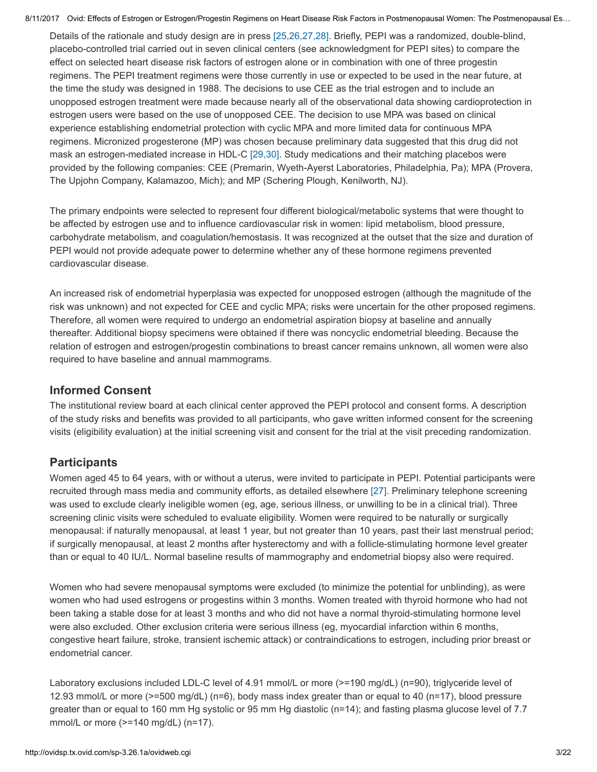Details of the rationale and study design are in press [\[25,26,27,28\].](#page-17-5) Briefly, PEPI was a randomized, double-blind, placebo-controlled trial carried out in seven clinical centers (see acknowledgment for PEPI sites) to compare the effect on selected heart disease risk factors of estrogen alone or in combination with one of three progestin regimens. The PEPI treatment regimens were those currently in use or expected to be used in the near future, at the time the study was designed in 1988. The decisions to use CEE as the trial estrogen and to include an unopposed estrogen treatment were made because nearly all of the observational data showing cardioprotection in estrogen users were based on the use of unopposed CEE. The decision to use MPA was based on clinical experience establishing endometrial protection with cyclic MPA and more limited data for continuous MPA regimens. Micronized progesterone (MP) was chosen because preliminary data suggested that this drug did not mask an estrogen-mediated increase in HDL-C [\[29,30\].](#page-17-6) Study medications and their matching placebos were provided by the following companies: CEE (Premarin, Wyeth-Ayerst Laboratories, Philadelphia, Pa); MPA (Provera, The Upjohn Company, Kalamazoo, Mich); and MP (Schering Plough, Kenilworth, NJ).

<span id="page-2-1"></span>The primary endpoints were selected to represent four different biological/metabolic systems that were thought to be affected by estrogen use and to influence cardiovascular risk in women: lipid metabolism, blood pressure, carbohydrate metabolism, and coagulation/hemostasis. It was recognized at the outset that the size and duration of PEPI would not provide adequate power to determine whether any of these hormone regimens prevented cardiovascular disease.

An increased risk of endometrial hyperplasia was expected for unopposed estrogen (although the magnitude of the risk was unknown) and not expected for CEE and cyclic MPA; risks were uncertain for the other proposed regimens. Therefore, all women were required to undergo an endometrial aspiration biopsy at baseline and annually thereafter. Additional biopsy specimens were obtained if there was noncyclic endometrial bleeding. Because the relation of estrogen and estrogen/progestin combinations to breast cancer remains unknown, all women were also required to have baseline and annual mammograms.

#### Informed Consent

The institutional review board at each clinical center approved the PEPI protocol and consent forms. A description of the study risks and benefits was provided to all participants, who gave written informed consent for the screening visits (eligibility evaluation) at the initial screening visit and consent for the trial at the visit preceding randomization.

# <span id="page-2-0"></span>**Participants**

Women aged 45 to 64 years, with or without a uterus, were invited to participate in PEPI. Potential participants were recruited through mass media and community efforts, as detailed elsewhere [\[27\]](#page-17-7). Preliminary telephone screening was used to exclude clearly ineligible women (eg, age, serious illness, or unwilling to be in a clinical trial). Three screening clinic visits were scheduled to evaluate eligibility. Women were required to be naturally or surgically menopausal: if naturally menopausal, at least 1 year, but not greater than 10 years, past their last menstrual period; if surgically menopausal, at least 2 months after hysterectomy and with a follicle-stimulating hormone level greater than or equal to 40 IU/L. Normal baseline results of mammography and endometrial biopsy also were required.

Women who had severe menopausal symptoms were excluded (to minimize the potential for unblinding), as were women who had used estrogens or progestins within 3 months. Women treated with thyroid hormone who had not been taking a stable dose for at least 3 months and who did not have a normal thyroid-stimulating hormone level were also excluded. Other exclusion criteria were serious illness (eg, myocardial infarction within 6 months, congestive heart failure, stroke, transient ischemic attack) or contraindications to estrogen, including prior breast or endometrial cancer.

Laboratory exclusions included LDL-C level of 4.91 mmol/L or more (>=190 mg/dL) (n=90), triglyceride level of 12.93 mmol/L or more (>=500 mg/dL) (n=6), body mass index greater than or equal to 40 (n=17), blood pressure greater than or equal to 160 mm Hg systolic or 95 mm Hg diastolic (n=14); and fasting plasma glucose level of 7.7 mmol/L or more (>=140 mg/dL) (n=17).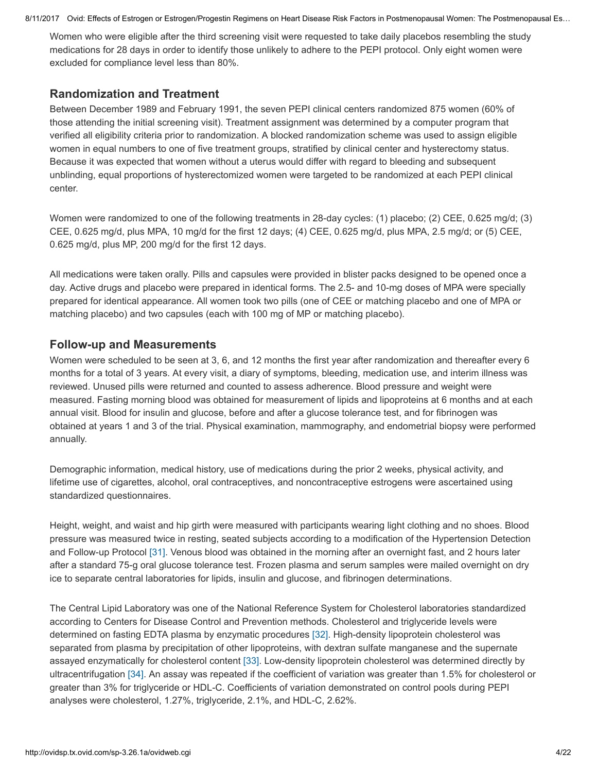Women who were eligible after the third screening visit were requested to take daily placebos resembling the study medications for 28 days in order to identify those unlikely to adhere to the PEPI protocol. Only eight women were excluded for compliance level less than 80%.

#### Randomization and Treatment

Between December 1989 and February 1991, the seven PEPI clinical centers randomized 875 women (60% of those attending the initial screening visit). Treatment assignment was determined by a computer program that verified all eligibility criteria prior to randomization. A blocked randomization scheme was used to assign eligible women in equal numbers to one of five treatment groups, stratified by clinical center and hysterectomy status. Because it was expected that women without a uterus would differ with regard to bleeding and subsequent unblinding, equal proportions of hysterectomized women were targeted to be randomized at each PEPI clinical center.

Women were randomized to one of the following treatments in 28-day cycles: (1) placebo; (2) CEE, 0.625 mg/d; (3) CEE, 0.625 mg/d, plus MPA, 10 mg/d for the first 12 days; (4) CEE, 0.625 mg/d, plus MPA, 2.5 mg/d; or (5) CEE, 0.625 mg/d, plus MP, 200 mg/d for the first 12 days.

All medications were taken orally. Pills and capsules were provided in blister packs designed to be opened once a day. Active drugs and placebo were prepared in identical forms. The 2.5- and 10-mg doses of MPA were specially prepared for identical appearance. All women took two pills (one of CEE or matching placebo and one of MPA or matching placebo) and two capsules (each with 100 mg of MP or matching placebo).

### Follow-up and Measurements

Women were scheduled to be seen at 3, 6, and 12 months the first year after randomization and thereafter every 6 months for a total of 3 years. At every visit, a diary of symptoms, bleeding, medication use, and interim illness was reviewed. Unused pills were returned and counted to assess adherence. Blood pressure and weight were measured. Fasting morning blood was obtained for measurement of lipids and lipoproteins at 6 months and at each annual visit. Blood for insulin and glucose, before and after a glucose tolerance test, and for fibrinogen was obtained at years 1 and 3 of the trial. Physical examination, mammography, and endometrial biopsy were performed annually.

Demographic information, medical history, use of medications during the prior 2 weeks, physical activity, and lifetime use of cigarettes, alcohol, oral contraceptives, and noncontraceptive estrogens were ascertained using standardized questionnaires.

Height, weight, and waist and hip girth were measured with participants wearing light clothing and no shoes. Blood pressure was measured twice in resting, seated subjects according to a modification of the Hypertension Detection and Follow-up Protocol [\[31\]](#page-18-0). Venous blood was obtained in the morning after an overnight fast, and 2 hours later after a standard 75-g oral glucose tolerance test. Frozen plasma and serum samples were mailed overnight on dry ice to separate central laboratories for lipids, insulin and glucose, and fibrinogen determinations.

<span id="page-3-1"></span><span id="page-3-0"></span>The Central Lipid Laboratory was one of the National Reference System for Cholesterol laboratories standardized according to Centers for Disease Control and Prevention methods. Cholesterol and triglyceride levels were determined on fasting EDTA plasma by enzymatic procedures [\[32\]](#page-18-1). High-density lipoprotein cholesterol was separated from plasma by precipitation of other lipoproteins, with dextran sulfate manganese and the supernate assayed enzymatically for cholesterol content [\[33\].](#page-18-2) Low-density lipoprotein cholesterol was determined directly by ultracentrifugation [\[34\].](#page-18-3) An assay was repeated if the coefficient of variation was greater than 1.5% for cholesterol or greater than 3% for triglyceride or HDL-C. Coefficients of variation demonstrated on control pools during PEPI analyses were cholesterol, 1.27%, triglyceride, 2.1%, and HDL-C, 2.62%.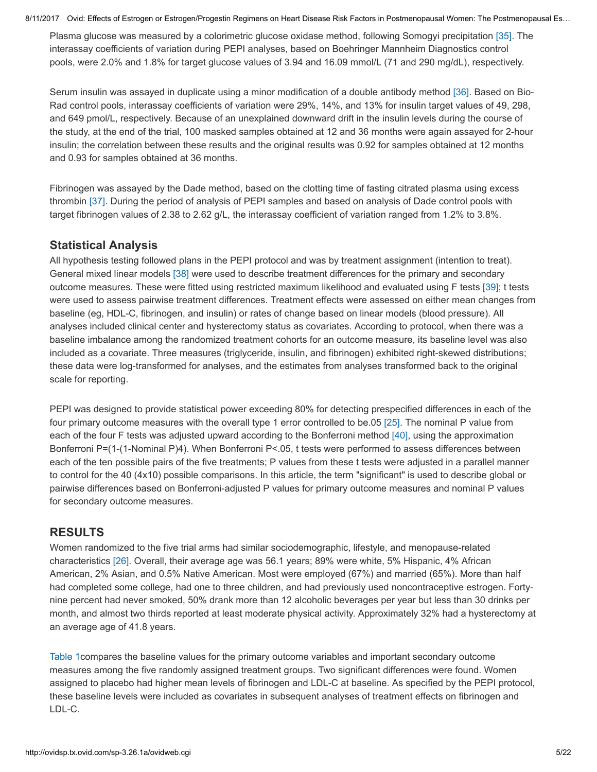<span id="page-4-2"></span>Plasma glucose was measured by a colorimetric glucose oxidase method, following Somogyi precipitation [\[35\].](#page-18-4) The interassay coefficients of variation during PEPI analyses, based on Boehringer Mannheim Diagnostics control pools, were 2.0% and 1.8% for target glucose values of 3.94 and 16.09 mmol/L (71 and 290 mg/dL), respectively.

Serum insulin was assayed in duplicate using a minor modification of a double antibody method [\[36\]](#page-18-5). Based on Bio-Rad control pools, interassay coefficients of variation were 29%, 14%, and 13% for insulin target values of 49, 298, and 649 pmol/L, respectively. Because of an unexplained downward drift in the insulin levels during the course of the study, at the end of the trial, 100 masked samples obtained at 12 and 36 months were again assayed for 2-hour insulin; the correlation between these results and the original results was 0.92 for samples obtained at 12 months and 0.93 for samples obtained at 36 months.

<span id="page-4-4"></span><span id="page-4-3"></span>Fibrinogen was assayed by the Dade method, based on the clotting time of fasting citrated plasma using excess thrombin [\[37\].](#page-18-6) During the period of analysis of PEPI samples and based on analysis of Dade control pools with target fibrinogen values of 2.38 to 2.62 g/L, the interassay coefficient of variation ranged from 1.2% to 3.8%.

### <span id="page-4-0"></span>Statistical Analysis

All hypothesis testing followed plans in the PEPI protocol and was by treatment assignment (intention to treat). General mixed linear models [\[38\]](#page-18-7) were used to describe treatment differences for the primary and secondary outcome measures. These were fitted using restricted maximum likelihood and evaluated using F tests [\[39\]](#page-18-8); t tests were used to assess pairwise treatment differences. Treatment effects were assessed on either mean changes from baseline (eg, HDL-C, fibrinogen, and insulin) or rates of change based on linear models (blood pressure). All analyses included clinical center and hysterectomy status as covariates. According to protocol, when there was a baseline imbalance among the randomized treatment cohorts for an outcome measure, its baseline level was also included as a covariate. Three measures (triglyceride, insulin, and fibrinogen) exhibited right-skewed distributions; these data were log-transformed for analyses, and the estimates from analyses transformed back to the original scale for reporting.

<span id="page-4-5"></span>PEPI was designed to provide statistical power exceeding 80% for detecting prespecified differences in each of the four primary outcome measures with the overall type 1 error controlled to be.05 [\[25\].](#page-17-5) The nominal P value from each of the four F tests was adjusted upward according to the Bonferroni method [\[40\],](#page-18-9) using the approximation Bonferroni P=(1-(1-Nominal P)4). When Bonferroni P<.05, t tests were performed to assess differences between each of the ten possible pairs of the five treatments; P values from these t tests were adjusted in a parallel manner to control for the 40 (4x10) possible comparisons. In this article, the term "significant" is used to describe global or pairwise differences based on Bonferroni-adjusted P values for primary outcome measures and nominal P values for secondary outcome measures.

# <span id="page-4-6"></span><span id="page-4-1"></span>RESULTS

Women randomized to the five trial arms had similar sociodemographic, lifestyle, and menopause-related characteristics [\[26\]](#page-17-8). Overall, their average age was 56.1 years; 89% were white, 5% Hispanic, 4% African American, 2% Asian, and 0.5% Native American. Most were employed (67%) and married (65%). More than half had completed some college, had one to three children, and had previously used noncontraceptive estrogen. Fortynine percent had never smoked, 50% drank more than 12 alcoholic beverages per year but less than 30 drinks per month, and almost two thirds reported at least moderate physical activity. Approximately 32% had a hysterectomy at an average age of 41.8 years.

Table 1compares the baseline values for the primary outcome variables and important secondary outcome measures among the five randomly assigned treatment groups. Two significant differences were found. Women assigned to placebo had higher mean levels of fibrinogen and LDL-C at baseline. As specified by the PEPI protocol, these baseline levels were included as covariates in subsequent analyses of treatment effects on fibrinogen and LDL-C.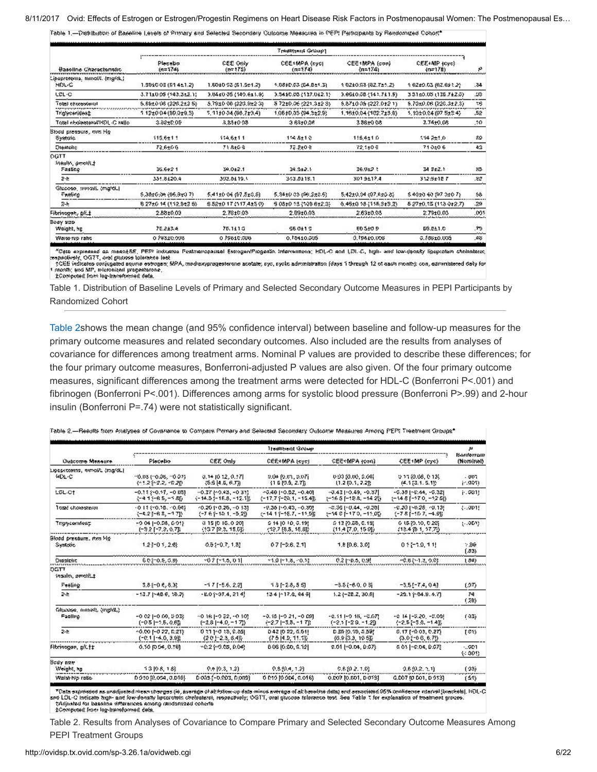Table 1.—Distribution of Baseline Levels of Primary and Selected Secondery Cutombe Messures in OEP! Participants by Rendomized Cohors\*

|                                                   |                        |                             | <b>Tradament Group1</b>      |                              |                                     |      |
|---------------------------------------------------|------------------------|-----------------------------|------------------------------|------------------------------|-------------------------------------|------|
| <b>Baseline Characteristic</b>                    | Placebo<br>$(n=374)$   | <b>CEE Only</b><br>(pr 178) | CEE1MPA (cycl<br>$(n = 574)$ | CEE1MPA (con)<br>$(n = 1/4)$ | <b>CEE+AIP (cyc)</b><br>$(0 - 178)$ | دو   |
| Cipopreteriis, miliotii, (nigrot,)<br><b>HOUG</b> | 1.9860.03 (51.451.2)   | 1,60±0.52 (fi1.5e4.2)       | 1.889D.63 (64.861.3)         | 182±0.53 (82.7±1.2)          | 182:0.03 (82.891.2)                 | .34  |
| LCL-C                                             | 3.7110.05 (943.312.1)  | 3.84x0.052540.6x3.80        | 3.3410.083137.012.15         | 3.6510.5B (145.711.5)        | 3 81:00.08 (136.7±2.5)              | -53  |
| Tobel chosewered                                  | 5.652098 (226.222.5)   | 5,7810-00-(223,8%2.3)       | 57210.063221.312.35          | 5.8710.05 (227.012.1)        | 5.70x0.06 (220.31.2.3)              | 76   |
| Triglyceritlent                                   | 112±004(80.9±0.5).     | 5.11:004.08.7:3.41          | 1,0530,05 (94,322.9)         | 1.16±0.04 (182.7±3.6)        | 1,1050.04 (97.5±3.4)                | ,52  |
| oller O. JOP Paragressive lass?                   | 3.08:10.05             | 8,8810.08                   | 3.63±0.06                    | 386±008                      | 3.74±0.08                           | 50   |
| Shoul pregaure, man Hg.<br>Systemic               | 115,6±11               | $114.6 + 11$                | 1148110                      | $1!5.4*1.0$                  | \$14,751.0                          | 89   |
| Otentalic                                         | 73,640.6               | 73 8±0 8                    | 73.2±0 ÷                     | 72.180日                      | 710±0.6                             | 43   |
| <b>DGTT</b><br>ments, amoth t<br>Fasbne           | 35.6+2.1               | 30.0±2.1                    | 34.5±2.3                     | 36.962 %                     | 34 8x2.5                            | 85   |
| 2th                                               | 331.8420.4             | 302.04.19.3                 | 343.0119.1                   | 301 9412.4                   | 312.9410.7                          | ,82  |
| Glucose, minoric (mardL)<br><b>Shaling</b>        | 5,38±0,04 (96,9±0.7).  | 5.41±0.04 (§7.5±0.6)        | 5.94±0.03 (99.2±0.6)         | 5.42±0.04 (97.6±0.8)         | 6.4050.40.997.050.7)                | 58   |
| $2-h$                                             | 6,27±0,14 (112,9±2,5). | \$52±0.173117.4±5.00        | 5.08±0.18 (109.6±2.3)        | 6.45±0.58 (115,9±9.2)        | 8 27 10, 15 (113 012.7)             | .29  |
| Fibrinoget, MC1                                   | 2.8810.03              | 2.70:003                    | 2.89±0.03                    | 2.6310.03                    | 2.79±0.03                           | .003 |
| Body \$20<br>Woight, Hg                           | 76.243.4               | 75.1410                     | 96 041 9                     | ED 520 9                     | 66.041.0                            | σ۴.  |
| Walso-sto raho                                    | 0 793.20.098           | 0 75610 506                 | 0.18410.585                  | 0.15440.008                  | 0.18610.005                         | ,03  |

"Seta expresses as meant 5F, PEP industrial Festival<br>expectively, OGT7, and glustrice belowers less and contract executively regards. Intervallence: HDL-C and LDL-C, high- and low-leasty lipeposain cholesters,<br>TCEE indicat

2Computed from log-introducined deta.

Table 1. Distribution of Baseline Levels of Primary and Selected Secondary Outcome Measures in PEPI Participants by Randomized Cohort

Table 2shows the mean change (and 95% confidence interval) between baseline and follow-up measures for the primary outcome measures and related secondary outcomes. Also included are the results from analyses of covariance for differences among treatment arms. Nominal P values are provided to describe these differences; for the four primary outcome measures, Bonferroni-adjusted P values are also given. Of the four primary outcome measures, significant differences among the treatment arms were detected for HDL-C (Bonferroni P<.001) and fibrinogen (Bonferroni P<.001). Differences among arms for systolic blood pressure (Bonferroni P>.99) and 2-hour insulin (Bonferroni P=.74) were not statistically significant.

|                                               | <b>Treather(EGroup</b>                             |                                                   |                                                  |                                                         |                                                  |                          |  |  |  |
|-----------------------------------------------|----------------------------------------------------|---------------------------------------------------|--------------------------------------------------|---------------------------------------------------------|--------------------------------------------------|--------------------------|--|--|--|
| Quicome Meneure                               | Pleopho                                            | <b>CEE Only</b>                                   | <b>CEENMPA (cyc)</b>                             | CEEMING (000)                                           | CEE+MP (cyc)                                     | Bestforratt<br>(Nominal) |  |  |  |
| Lipeprossins, nimol/L (mg/dL)<br><b>ADE-C</b> | ~0.08 @o.08, ~0.07)<br>(41.25-2.2, 40.20)          | 0.14 (0.12, 0.57)<br>(5.6   4.5, 6.77)            | 9.04 (9.83, 9.97).<br>$\{1, 6, 19.9, 2.7\}$      | 0.00 (0.00, 0.06)<br>(1.210.5, 2.23)                    | 0.35 (0.08, 0.13).<br>(4.5 (3.1.5.1))            | $-907$<br>je.dom         |  |  |  |
| LGL-C1                                        | $-0.355 - 0.57$ , $-0.183$<br>(+41)-65,-180        | $-0.37 + 0.83, -0.357$<br>$(-14.5 - 18.8, -12.5)$ | -6.40 (+0.52, -0.40)<br>(~17,7 (~30,1) ~15.41)   | $-3.43$ ( $-0.49$ , $-0.37$ )<br>(+16.5 [-18.8, +14.2]) | -0.39 (~0.44, ~0.32)<br>(~34.8 [~37.0, ~32.5])   | F. 581)                  |  |  |  |
| Total chooserul                               | $-0.13340.38, -0.005$<br>$(-6.23 - 8.8, -1.7)$     | 40.20 fr 0.26, +0.33)<br>$(-7.65 - 10.1, -5.29)$  | $-0.36$ (~0.43, ~0.35)<br>(-14-14-16.7, -15.5))  | $-0.36 + 0.44, -0.26$<br>$(-16.8 - 17.0, -15.07)$       | $-0.201 - 0.28 - 0.139$<br>$(-7.8[-10.7, -4.9])$ | <b>3-3015</b>            |  |  |  |
| Trepyconidest:                                | $-9.04[-0.58, 6.9!)$<br>$(-32[-7.3, 0.7]$          | 41.15 [0116:020]<br>(337 [8.3, 15.0])             | 9:14:10:10:0.19)<br>(12.718.5, 15.8)             | 9.13 79.88, 6.1出<br>(11.477.0, 15.9)                    | 0.15 (9, 10, 0.20)<br>$(13.4 + 15.57, 75)$       | $(-.053)$                |  |  |  |
| Slood pressure, then kip<br>Systetic          | 1.23-05.2.03                                       | $0.55 - 0.7, 1.83$                                | $07[-0.6, 2.1]$                                  | $1.8$ [0.6, 3.0]                                        | 0.1510, 1.11                                     | .26<br>(D3)              |  |  |  |
| Dipaletic<br>חפס<br>insulta, protect          | 603:0.8.0.99                                       | $-0.21 - 5.5, 0.1$                                | v 5.0 j v 1.8, -0.33                             | 0.2 pp.5, 0.9!                                          | 40.6741.8, 0.03                                  | (50)                     |  |  |  |
| Feeling                                       | $3.85 - 0.6, 8.35$                                 | $-17[-5.6, 2.2]$                                  | $13[-2.8, 55]$                                   | $-3.5i - 60.05i$                                        | $-3.5[-7,4,0.4]$                                 | (37)                     |  |  |  |
| 2th                                           | -13.7 (~48.6, 18.2)                                | $-0.01-0.74, 214$                                 | 134 [417.6, 44 5]                                | $3.2$ $\{-20.2, 30.6\}$                                 | $-29.11994.8.4.7$                                | 74<br>(20)               |  |  |  |
| Glucose, mossel, (inglist.)<br>Faeling        | $-0.02$ (-0.69, 2.03)<br>$(-0.51 - 2.5, 0.65)$     | $-0.86$ (-0.22, -0.30)<br>$(-2.81 - 4.0, -1.7)$   | $-0.19$ (-0.21, -0.02)<br>$(-2.71 - 3.8, -1.70)$ | -0.111-0.16, -0.07)<br>$(-2.3[-2.9, -1.25]$             | $-0.141 - 3.20 - 3.091$<br>$(-2.5 - 3.8, -1.4]$  | (53)                     |  |  |  |
| 24b                                           | $-0.00$ ( $-0.22$ , ft.21)<br>$[-0.1] - 4.0, 3.9]$ | 0.311~0.33, 0.25)<br>$(201 - 2.3, 8.4)$           | 042 [022, 5.61]<br>(7.5   4.5, 11.7)             | D.35 (0.10, 5.39)<br>$\{6.943.3, 10.5\}$                | 5.17 [-003, 0.27]<br>(3.04-06, 6.7!)             | 153                      |  |  |  |
| Fibrinogen, p/Ctt                             | 0.50 to 54, 0.78)                                  | ~0.2 (~0.05, 0.04)                                | 0.06 [0.60, ft.12]                               | $0.01$ $ \nabla 0.04, 0.07\rangle$                      | 6.03 (~0.04, 0.07)                               | $-501$<br>包 40倍          |  |  |  |
|                                               |                                                    |                                                   |                                                  |                                                         |                                                  |                          |  |  |  |
| Souly age.<br>Weight, hp                      | 1319.8.1.83                                        | $9.9$ $[9.3, 1.2]$                                | 0.8(0.4, 1.2)                                    | 9.839.2.1.03                                            | 0.8(9.3, 5.3)                                    | (33)                     |  |  |  |

Table 2,-Reedits from Analyses of Comivation to Compare Pethany and Selected Secondary Outcome Measures Among PEP! Treatment Groupo\*

олого учения состоительного в 1992 году и политических политических состоительности в процессов политического п<br>. создала последника по подалась не только в составительности политических денью денью состоительной политиче tAiljusted for besaline vifterances among randomized coheria 2Computed from log-introformed defa.

Table 2. Results from Analyses of Covariance to Compare Primary and Selected Secondary Outcome Measures Among PEPI Treatment Groups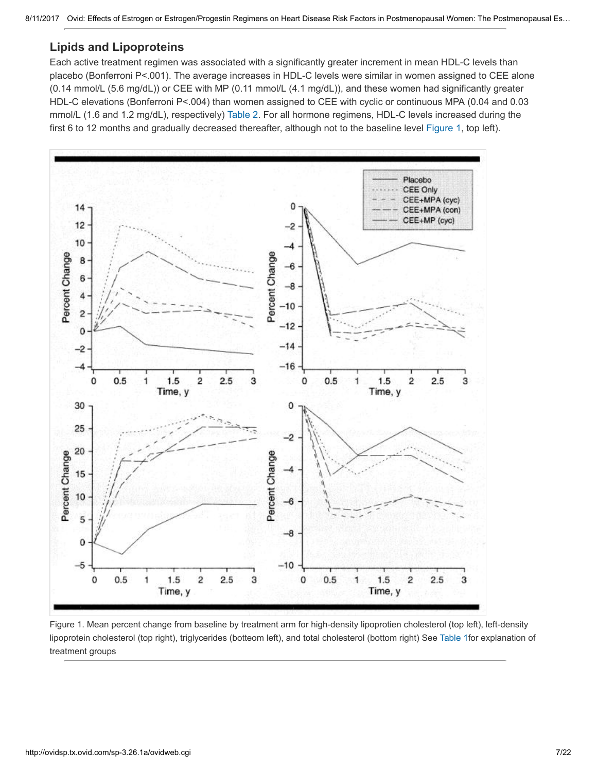#### Lipids and Lipoproteins

Each active treatment regimen was associated with a significantly greater increment in mean HDL-C levels than placebo (Bonferroni P<.001). The average increases in HDL-C levels were similar in women assigned to CEE alone (0.14 mmol/L (5.6 mg/dL)) or CEE with MP (0.11 mmol/L (4.1 mg/dL)), and these women had significantly greater HDL-C elevations (Bonferroni P<.004) than women assigned to CEE with cyclic or continuous MPA (0.04 and 0.03 mmol/L (1.6 and 1.2 mg/dL), respectively) Table 2. For all hormone regimens, HDL-C levels increased during the first 6 to 12 months and gradually decreased thereafter, although not to the baseline level Figure 1, top left).



Figure 1. Mean percent change from baseline by treatment arm for high-density lipoprotien cholesterol (top left), left-density lipoprotein cholesterol (top right), triglycerides (botteom left), and total cholesterol (bottom right) See Table 1for explanation of treatment groups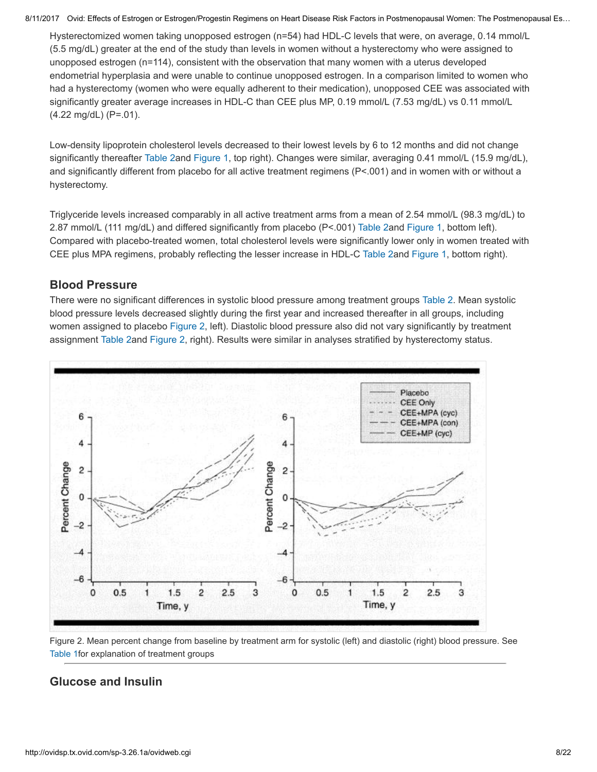Hysterectomized women taking unopposed estrogen (n=54) had HDL-C levels that were, on average, 0.14 mmol/L (5.5 mg/dL) greater at the end of the study than levels in women without a hysterectomy who were assigned to unopposed estrogen (n=114), consistent with the observation that many women with a uterus developed endometrial hyperplasia and were unable to continue unopposed estrogen. In a comparison limited to women who had a hysterectomy (women who were equally adherent to their medication), unopposed CEE was associated with significantly greater average increases in HDL-C than CEE plus MP, 0.19 mmol/L (7.53 mg/dL) vs 0.11 mmol/L (4.22 mg/dL) (P=.01).

Low-density lipoprotein cholesterol levels decreased to their lowest levels by 6 to 12 months and did not change significantly thereafter Table 2and Figure 1, top right). Changes were similar, averaging 0.41 mmol/L (15.9 mg/dL), and significantly different from placebo for all active treatment regimens (P<.001) and in women with or without a hysterectomy.

Triglyceride levels increased comparably in all active treatment arms from a mean of 2.54 mmol/L (98.3 mg/dL) to 2.87 mmol/L (111 mg/dL) and differed significantly from placebo (P<.001) Table 2and Figure 1, bottom left). Compared with placebo-treated women, total cholesterol levels were significantly lower only in women treated with CEE plus MPA regimens, probably reflecting the lesser increase in HDL-C Table 2and Figure 1, bottom right).

#### Blood Pressure

There were no significant differences in systolic blood pressure among treatment groups Table 2. Mean systolic blood pressure levels decreased slightly during the first year and increased thereafter in all groups, including women assigned to placebo Figure 2, left). Diastolic blood pressure also did not vary significantly by treatment assignment Table 2and Figure 2, right). Results were similar in analyses stratified by hysterectomy status.



Figure 2. Mean percent change from baseline by treatment arm for systolic (left) and diastolic (right) blood pressure. See Table 1for explanation of treatment groups

#### Glucose and Insulin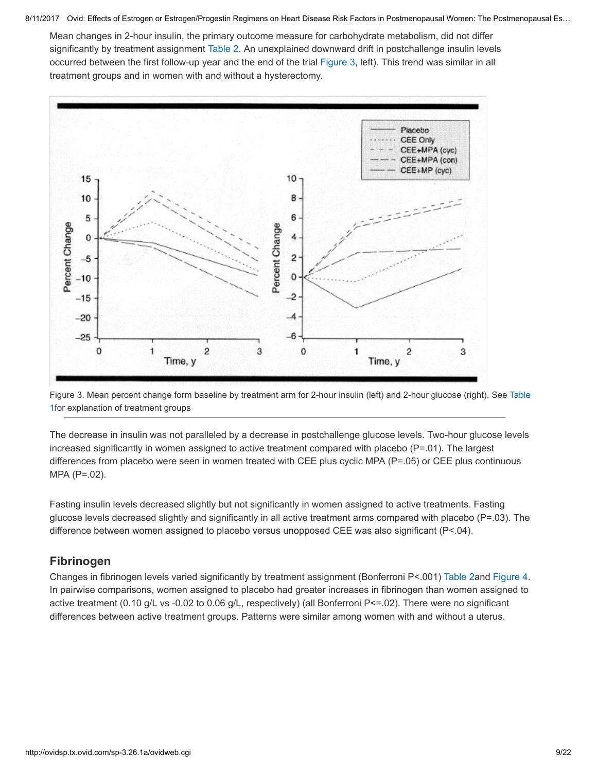Mean changes in 2-hour insulin, the primary outcome measure for carbohydrate metabolism, did not differ significantly by treatment assignment Table 2. An unexplained downward drift in postchallenge insulin levels occurred between the first follow-up year and the end of the trial Figure 3, left). This trend was similar in all treatment groups and in women with and without a hysterectomy.



Figure 3. Mean percent change form baseline by treatment arm for 2-hour insulin (left) and 2-hour glucose (right). See Table 1for explanation of treatment groups

The decrease in insulin was not paralleled by a decrease in postchallenge glucose levels. Two-hour glucose levels increased significantly in women assigned to active treatment compared with placebo (P=.01). The largest differences from placebo were seen in women treated with CEE plus cyclic MPA (P=.05) or CEE plus continuous MPA (P=.02).

Fasting insulin levels decreased slightly but not significantly in women assigned to active treatments. Fasting glucose levels decreased slightly and significantly in all active treatment arms compared with placebo (P=.03). The difference between women assigned to placebo versus unopposed CEE was also significant (P<.04).

#### Fibrinogen

Changes in fibrinogen levels varied significantly by treatment assignment (Bonferroni P<.001) Table 2and Figure 4. In pairwise comparisons, women assigned to placebo had greater increases in fibrinogen than women assigned to active treatment (0.10 g/L vs -0.02 to 0.06 g/L, respectively) (all Bonferroni P<=.02). There were no significant differences between active treatment groups. Patterns were similar among women with and without a uterus.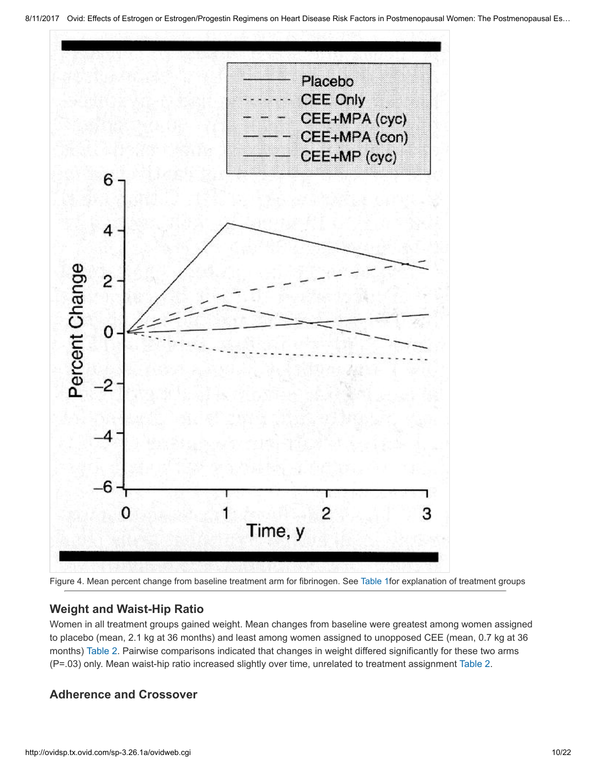



Figure 4. Mean percent change from baseline treatment arm for fibrinogen. See Table 1for explanation of treatment groups

#### Weight and Waist-Hip Ratio

Women in all treatment groups gained weight. Mean changes from baseline were greatest among women assigned to placebo (mean, 2.1 kg at 36 months) and least among women assigned to unopposed CEE (mean, 0.7 kg at 36 months) Table 2. Pairwise comparisons indicated that changes in weight differed significantly for these two arms (P=.03) only. Mean waist-hip ratio increased slightly over time, unrelated to treatment assignment Table 2.

# Adherence and Crossover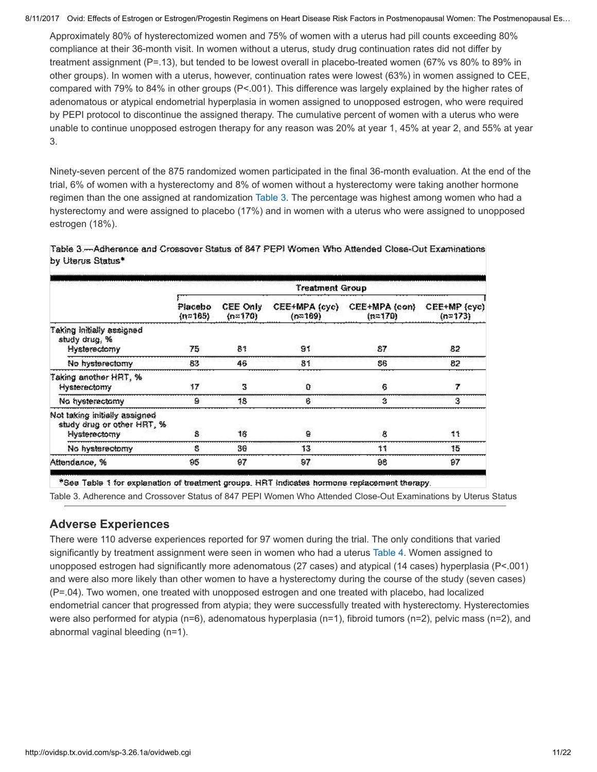Approximately 80% of hysterectomized women and 75% of women with a uterus had pill counts exceeding 80% compliance at their 36-month visit. In women without a uterus, study drug continuation rates did not differ by treatment assignment (P=.13), but tended to be lowest overall in placebo-treated women (67% vs 80% to 89% in other groups). In women with a uterus, however, continuation rates were lowest (63%) in women assigned to CEE, compared with 79% to 84% in other groups (P<.001). This difference was largely explained by the higher rates of adenomatous or atypical endometrial hyperplasia in women assigned to unopposed estrogen, who were required by PEPI protocol to discontinue the assigned therapy. The cumulative percent of women with a uterus who were unable to continue unopposed estrogen therapy for any reason was 20% at year 1, 45% at year 2, and 55% at year 3.

Ninety-seven percent of the 875 randomized women participated in the final 36-month evaluation. At the end of the trial, 6% of women with a hysterectomy and 8% of women without a hysterectomy were taking another hormone regimen than the one assigned at randomization Table 3. The percentage was highest among women who had a hysterectomy and were assigned to placebo (17%) and in women with a uterus who were assigned to unopposed estrogen (18%).

Table 3-Adherence and Crossover Status of 847 PEPI Women Who Attended Close-Out Examinations by Uterus Status\*

|                                                                             | Treatment Group        |                            |                          |                            |                           |  |  |
|-----------------------------------------------------------------------------|------------------------|----------------------------|--------------------------|----------------------------|---------------------------|--|--|
|                                                                             | Placebo<br>$(n = 105)$ | <b>CEE Only</b><br>(n:170) | CEE+MPA (cyc)<br>(nx169) | CEE+MPA (con)<br>$(n=170)$ | CEE+MP (cyc)<br>$(n=173)$ |  |  |
| Taking initially essigned<br>study drug, %<br>Hysterectomy                  | 75                     | 81                         | 91                       | 87                         | 82                        |  |  |
| No hysterectomy                                                             | 83                     | 46                         | 81                       | 86                         | 82                        |  |  |
| Taking another HRT, %<br>Hysterectomy                                       | 17                     | з                          | $\Omega$                 | 6                          |                           |  |  |
| No hysterectomy                                                             | 9                      | 18                         | 6                        | з                          | з                         |  |  |
| Not taking initially assigned<br>study drug or other HRT, %<br>Hysterectomy | 8                      | 16                         | G                        | ß                          | 11                        |  |  |
| No hysterectomy                                                             | 8                      | 36                         | 13                       | 11                         | 15                        |  |  |
| Attendance, %                                                               | 95                     | 97                         | 97                       | 98                         | B7                        |  |  |

\*See Table 1 for explanation of treatment groups. HRT indicates hormone replacement therapy.

Table 3. Adherence and Crossover Status of 847 PEPI Women Who Attended Close-Out Examinations by Uterus Status

#### Adverse Experiences

There were 110 adverse experiences reported for 97 women during the trial. The only conditions that varied significantly by treatment assignment were seen in women who had a uterus Table 4. Women assigned to unopposed estrogen had significantly more adenomatous (27 cases) and atypical (14 cases) hyperplasia (P<.001) and were also more likely than other women to have a hysterectomy during the course of the study (seven cases) (P=.04). Two women, one treated with unopposed estrogen and one treated with placebo, had localized endometrial cancer that progressed from atypia; they were successfully treated with hysterectomy. Hysterectomies were also performed for atypia (n=6), adenomatous hyperplasia (n=1), fibroid tumors (n=2), pelvic mass (n=2), and abnormal vaginal bleeding (n=1).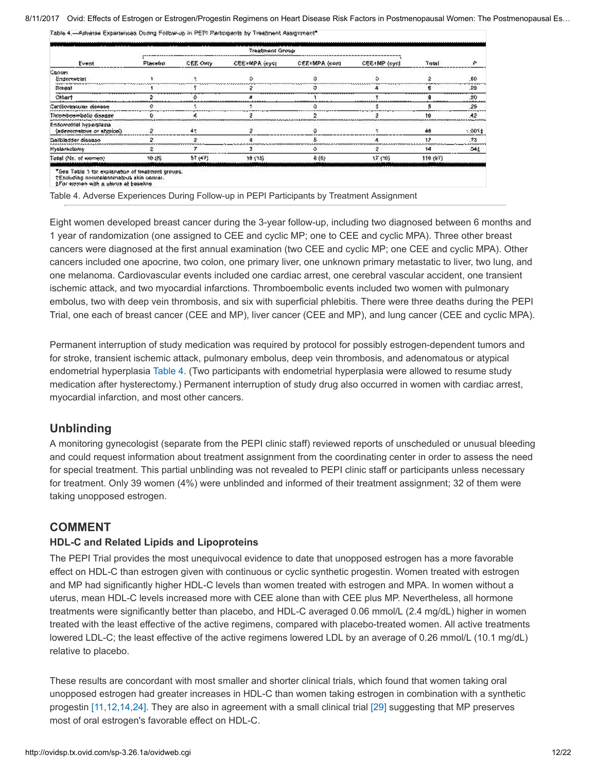| Event                                                                                                                                     | <b>Placebo</b> | <b>CEE Only</b> | CEE+MPA (cyc) | <b>CEE1MPA (cor)</b> | CEEKING (cycl) | Tragel   |        |
|-------------------------------------------------------------------------------------------------------------------------------------------|----------------|-----------------|---------------|----------------------|----------------|----------|--------|
| Cancer                                                                                                                                    |                |                 |               |                      |                |          |        |
| Endometist<br><b>SERVICE OF STRAINS</b>                                                                                                   |                |                 |               |                      |                |          | 80     |
| <b>Bureat</b>                                                                                                                             |                |                 |               |                      |                |          | .23    |
| Othert                                                                                                                                    |                |                 |               |                      |                |          | .20    |
| Certification disease                                                                                                                     |                |                 |               |                      |                |          | 25     |
| Tizionibosmbolic disadde                                                                                                                  |                |                 |               |                      |                |          | 42     |
| Endomotiol hyperplasta<br>(adenomatous or atypical).                                                                                      |                | 47              |               |                      |                | 48       | : 0011 |
| Salbladder disease                                                                                                                        |                |                 |               |                      |                |          | 73     |
| <b>Hyplaractomy</b>                                                                                                                       |                |                 |               |                      |                | 14       | 548    |
| Total (No. of women)                                                                                                                      | 70.36          | 57 (47)         | 38.57.57      | 8(8)                 | 17 (76)        | 110 (97) |        |
| "Son Tobin 5 for exploration of frenterient groups.<br>tExceeding nonmetanteriateus akin concer.<br>2 For women with a ubirus at beselves |                |                 |               |                      |                |          |        |

Table 4.-Adverse Experiences Occury Follow-up in PEP: Partcopents by Treatment Assignment\*

Table 4. Adverse Experiences During Follow-up in PEPI Participants by Treatment Assignment

Eight women developed breast cancer during the 3-year follow-up, including two diagnosed between 6 months and 1 year of randomization (one assigned to CEE and cyclic MP; one to CEE and cyclic MPA). Three other breast cancers were diagnosed at the first annual examination (two CEE and cyclic MP; one CEE and cyclic MPA). Other cancers included one apocrine, two colon, one primary liver, one unknown primary metastatic to liver, two lung, and one melanoma. Cardiovascular events included one cardiac arrest, one cerebral vascular accident, one transient ischemic attack, and two myocardial infarctions. Thromboembolic events included two women with pulmonary embolus, two with deep vein thrombosis, and six with superficial phlebitis. There were three deaths during the PEPI Trial, one each of breast cancer (CEE and MP), liver cancer (CEE and MP), and lung cancer (CEE and cyclic MPA).

Permanent interruption of study medication was required by protocol for possibly estrogen-dependent tumors and for stroke, transient ischemic attack, pulmonary embolus, deep vein thrombosis, and adenomatous or atypical endometrial hyperplasia Table 4. (Two participants with endometrial hyperplasia were allowed to resume study medication after hysterectomy.) Permanent interruption of study drug also occurred in women with cardiac arrest, myocardial infarction, and most other cancers.

#### Unblinding

A monitoring gynecologist (separate from the PEPI clinic staff) reviewed reports of unscheduled or unusual bleeding and could request information about treatment assignment from the coordinating center in order to assess the need for special treatment. This partial unblinding was not revealed to PEPI clinic staff or participants unless necessary for treatment. Only 39 women (4%) were unblinded and informed of their treatment assignment; 32 of them were taking unopposed estrogen.

#### COMMENT

#### HDL-C and Related Lipids and Lipoproteins

The PEPI Trial provides the most unequivocal evidence to date that unopposed estrogen has a more favorable effect on HDL-C than estrogen given with continuous or cyclic synthetic progestin. Women treated with estrogen and MP had significantly higher HDL-C levels than women treated with estrogen and MPA. In women without a uterus, mean HDL-C levels increased more with CEE alone than with CEE plus MP. Nevertheless, all hormone treatments were significantly better than placebo, and HDL-C averaged 0.06 mmol/L (2.4 mg/dL) higher in women treated with the least effective of the active regimens, compared with placebo-treated women. All active treatments lowered LDL-C; the least effective of the active regimens lowered LDL by an average of 0.26 mmol/L (10.1 mg/dL) relative to placebo.

These results are concordant with most smaller and shorter clinical trials, which found that women taking oral unopposed estrogen had greater increases in HDL-C than women taking estrogen in combination with a synthetic progestin [\[11,12,14,24\].](#page-16-3) They are also in agreement with a small clinical trial [\[29\]](#page-17-6) suggesting that MP preserves most of oral estrogen's favorable effect on HDL-C.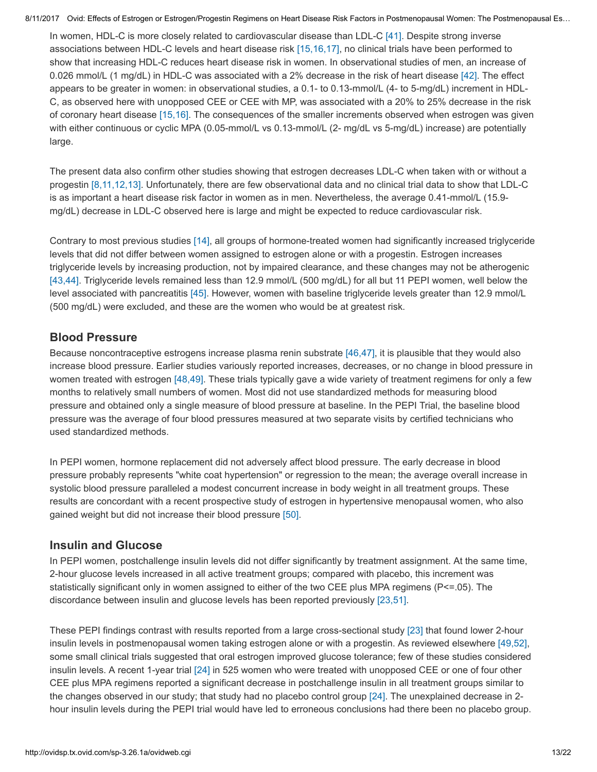In women, HDL-C is more closely related to cardiovascular disease than LDL-C [\[41\].](#page-18-10) Despite strong inverse associations between HDL-C levels and heart disease risk [\[15,16,17\]](#page-17-0), no clinical trials have been performed to show that increasing HDL-C reduces heart disease risk in women. In observational studies of men, an increase of 0.026 mmol/L (1 mg/dL) in HDL-C was associated with a 2% decrease in the risk of heart disease [\[42\]](#page-18-11). The effect appears to be greater in women: in observational studies, a 0.1- to 0.13-mmol/L (4- to 5-mg/dL) increment in HDL-C, as observed here with unopposed CEE or CEE with MP, was associated with a 20% to 25% decrease in the risk of coronary heart disease [\[15,16\]](#page-17-0). The consequences of the smaller increments observed when estrogen was given with either continuous or cyclic MPA (0.05-mmol/L vs 0.13-mmol/L (2- mg/dL vs 5-mg/dL) increase) are potentially large.

<span id="page-12-0"></span>The present data also confirm other studies showing that estrogen decreases LDL-C when taken with or without a progestin [\[8,11,12,13\].](#page-16-4) Unfortunately, there are few observational data and no clinical trial data to show that LDL-C is as important a heart disease risk factor in women as in men. Nevertheless, the average 0.41-mmol/L (15.9 mg/dL) decrease in LDL-C observed here is large and might be expected to reduce cardiovascular risk.

Contrary to most previous studies [\[14\],](#page-16-5) all groups of hormone-treated women had significantly increased triglyceride levels that did not differ between women assigned to estrogen alone or with a progestin. Estrogen increases triglyceride levels by increasing production, not by impaired clearance, and these changes may not be atherogenic [\[43,44\].](#page-18-12) Triglyceride levels remained less than 12.9 mmol/L (500 mg/dL) for all but 11 PEPI women, well below the level associated with pancreatitis [\[45\]](#page-19-0). However, women with baseline triglyceride levels greater than 12.9 mmol/L (500 mg/dL) were excluded, and these are the women who would be at greatest risk.

#### <span id="page-12-1"></span>Blood Pressure

Because noncontraceptive estrogens increase plasma renin substrate [\[46,47\]](#page-19-1), it is plausible that they would also increase blood pressure. Earlier studies variously reported increases, decreases, or no change in blood pressure in women treated with estrogen [\[48,49\]](#page-19-2). These trials typically gave a wide variety of treatment regimens for only a few months to relatively small numbers of women. Most did not use standardized methods for measuring blood pressure and obtained only a single measure of blood pressure at baseline. In the PEPI Trial, the baseline blood pressure was the average of four blood pressures measured at two separate visits by certified technicians who used standardized methods.

<span id="page-12-2"></span>In PEPI women, hormone replacement did not adversely affect blood pressure. The early decrease in blood pressure probably represents "white coat hypertension" or regression to the mean; the average overall increase in systolic blood pressure paralleled a modest concurrent increase in body weight in all treatment groups. These results are concordant with a recent prospective study of estrogen in hypertensive menopausal women, who also gained weight but did not increase their blood pressure [\[50\]](#page-19-3).

#### <span id="page-12-3"></span>Insulin and Glucose

In PEPI women, postchallenge insulin levels did not differ significantly by treatment assignment. At the same time, 2-hour glucose levels increased in all active treatment groups; compared with placebo, this increment was statistically significant only in women assigned to either of the two CEE plus MPA regimens (P<=.05). The discordance between insulin and glucose levels has been reported previously [\[23,51\].](#page-17-9)

<span id="page-12-5"></span><span id="page-12-4"></span>These PEPI findings contrast with results reported from a large cross-sectional study [\[23\]](#page-17-9) that found lower 2-hour insulin levels in postmenopausal women taking estrogen alone or with a progestin. As reviewed elsewhere [\[49,52\]](#page-19-4), some small clinical trials suggested that oral estrogen improved glucose tolerance; few of these studies considered insulin levels. A recent 1-year trial [\[24\]](#page-17-4) in 525 women who were treated with unopposed CEE or one of four other CEE plus MPA regimens reported a significant decrease in postchallenge insulin in all treatment groups similar to the changes observed in our study; that study had no placebo control group [\[24\]](#page-17-4). The unexplained decrease in 2 hour insulin levels during the PEPI trial would have led to erroneous conclusions had there been no placebo group.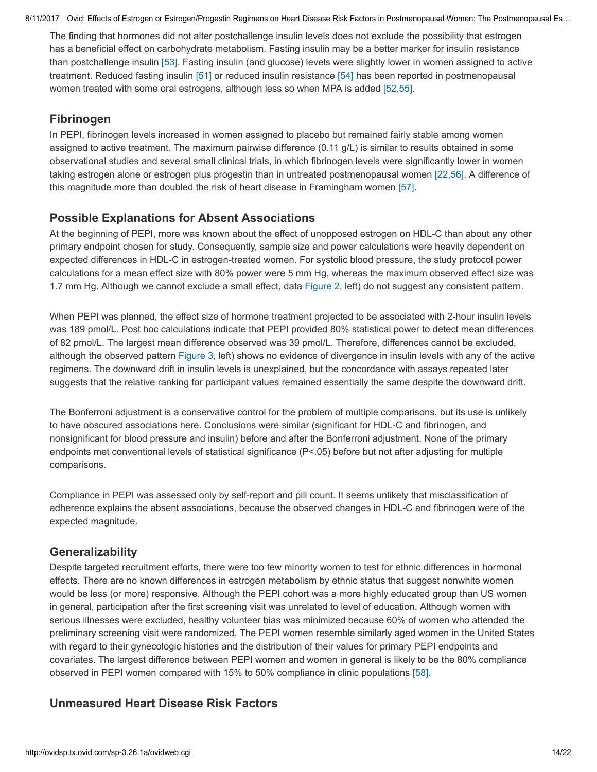The finding that hormones did not alter postchallenge insulin levels does not exclude the possibility that estrogen has a beneficial effect on carbohydrate metabolism. Fasting insulin may be a better marker for insulin resistance than postchallenge insulin [\[53\]](#page-19-5). Fasting insulin (and glucose) levels were slightly lower in women assigned to active treatment. Reduced fasting insulin [\[51\]](#page-19-6) or reduced insulin resistance [\[54\]](#page-19-7) has been reported in postmenopausal women treated with some oral estrogens, although less so when MPA is added [\[52,55\]](#page-19-8).

#### <span id="page-13-0"></span>Fibrinogen

In PEPI, fibrinogen levels increased in women assigned to placebo but remained fairly stable among women assigned to active treatment. The maximum pairwise difference (0.11 g/L) is similar to results obtained in some observational studies and several small clinical trials, in which fibrinogen levels were significantly lower in women taking estrogen alone or estrogen plus progestin than in untreated postmenopausal women [\[22,56\].](#page-17-3) A difference of this magnitude more than doubled the risk of heart disease in Framingham women [\[57\].](#page-19-9)

### <span id="page-13-1"></span>Possible Explanations for Absent Associations

At the beginning of PEPI, more was known about the effect of unopposed estrogen on HDL-C than about any other primary endpoint chosen for study. Consequently, sample size and power calculations were heavily dependent on expected differences in HDL-C in estrogen-treated women. For systolic blood pressure, the study protocol power calculations for a mean effect size with 80% power were 5 mm Hg, whereas the maximum observed effect size was 1.7 mm Hg. Although we cannot exclude a small effect, data Figure 2, left) do not suggest any consistent pattern.

When PEPI was planned, the effect size of hormone treatment projected to be associated with 2-hour insulin levels was 189 pmol/L. Post hoc calculations indicate that PEPI provided 80% statistical power to detect mean differences of 82 pmol/L. The largest mean difference observed was 39 pmol/L. Therefore, differences cannot be excluded, although the observed pattern Figure 3, left) shows no evidence of divergence in insulin levels with any of the active regimens. The downward drift in insulin levels is unexplained, but the concordance with assays repeated later suggests that the relative ranking for participant values remained essentially the same despite the downward drift.

The Bonferroni adjustment is a conservative control for the problem of multiple comparisons, but its use is unlikely to have obscured associations here. Conclusions were similar (significant for HDL-C and fibrinogen, and nonsignificant for blood pressure and insulin) before and after the Bonferroni adjustment. None of the primary endpoints met conventional levels of statistical significance (P<.05) before but not after adjusting for multiple comparisons.

Compliance in PEPI was assessed only by self-report and pill count. It seems unlikely that misclassification of adherence explains the absent associations, because the observed changes in HDL-C and fibrinogen were of the expected magnitude.

# **Generalizability**

Despite targeted recruitment efforts, there were too few minority women to test for ethnic differences in hormonal effects. There are no known differences in estrogen metabolism by ethnic status that suggest nonwhite women would be less (or more) responsive. Although the PEPI cohort was a more highly educated group than US women in general, participation after the first screening visit was unrelated to level of education. Although women with serious illnesses were excluded, healthy volunteer bias was minimized because 60% of women who attended the preliminary screening visit were randomized. The PEPI women resemble similarly aged women in the United States with regard to their gynecologic histories and the distribution of their values for primary PEPI endpoints and covariates. The largest difference between PEPI women and women in general is likely to be the 80% compliance observed in PEPI women compared with 15% to 50% compliance in clinic populations [\[58\].](#page-19-10)

# <span id="page-13-2"></span>Unmeasured Heart Disease Risk Factors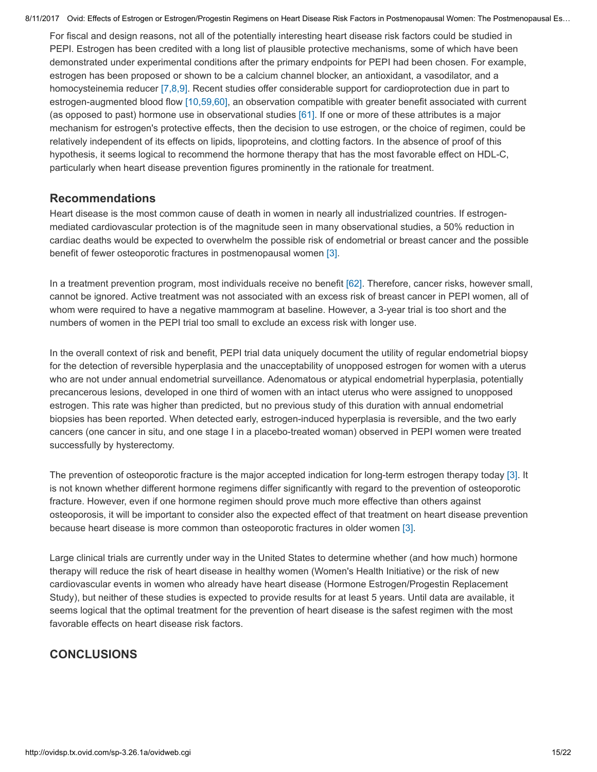For fiscal and design reasons, not all of the potentially interesting heart disease risk factors could be studied in PEPI. Estrogen has been credited with a long list of plausible protective mechanisms, some of which have been demonstrated under experimental conditions after the primary endpoints for PEPI had been chosen. For example, estrogen has been proposed or shown to be a calcium channel blocker, an antioxidant, a vasodilator, and a homocysteinemia reducer [\[7,8,9\]](#page-16-2). Recent studies offer considerable support for cardioprotection due in part to estrogen-augmented blood flow [\[10,59,60\]](#page-16-6), an observation compatible with greater benefit associated with current (as opposed to past) hormone use in observational studies [\[61\].](#page-20-0) If one or more of these attributes is a major mechanism for estrogen's protective effects, then the decision to use estrogen, or the choice of regimen, could be relatively independent of its effects on lipids, lipoproteins, and clotting factors. In the absence of proof of this hypothesis, it seems logical to recommend the hormone therapy that has the most favorable effect on HDL-C, particularly when heart disease prevention figures prominently in the rationale for treatment.

#### <span id="page-14-1"></span>Recommendations

Heart disease is the most common cause of death in women in nearly all industrialized countries. If estrogenmediated cardiovascular protection is of the magnitude seen in many observational studies, a 50% reduction in cardiac deaths would be expected to overwhelm the possible risk of endometrial or breast cancer and the possible benefit of fewer osteoporotic fractures in postmenopausal women [\[3\].](#page-16-7)

In a treatment prevention program, most individuals receive no benefit [\[62\]](#page-20-1). Therefore, cancer risks, however small, cannot be ignored. Active treatment was not associated with an excess risk of breast cancer in PEPI women, all of whom were required to have a negative mammogram at baseline. However, a 3-year trial is too short and the numbers of women in the PEPI trial too small to exclude an excess risk with longer use.

<span id="page-14-2"></span>In the overall context of risk and benefit, PEPI trial data uniquely document the utility of regular endometrial biopsy for the detection of reversible hyperplasia and the unacceptability of unopposed estrogen for women with a uterus who are not under annual endometrial surveillance. Adenomatous or atypical endometrial hyperplasia, potentially precancerous lesions, developed in one third of women with an intact uterus who were assigned to unopposed estrogen. This rate was higher than predicted, but no previous study of this duration with annual endometrial biopsies has been reported. When detected early, estrogen-induced hyperplasia is reversible, and the two early cancers (one cancer in situ, and one stage I in a placebo-treated woman) observed in PEPI women were treated successfully by hysterectomy.

The prevention of osteoporotic fracture is the major accepted indication for long-term estrogen therapy today [\[3\].](#page-16-7) It is not known whether different hormone regimens differ significantly with regard to the prevention of osteoporotic fracture. However, even if one hormone regimen should prove much more effective than others against osteoporosis, it will be important to consider also the expected effect of that treatment on heart disease prevention because heart disease is more common than osteoporotic fractures in older women [\[3\].](#page-16-7)

Large clinical trials are currently under way in the United States to determine whether (and how much) hormone therapy will reduce the risk of heart disease in healthy women (Women's Health Initiative) or the risk of new cardiovascular events in women who already have heart disease (Hormone Estrogen/Progestin Replacement Study), but neither of these studies is expected to provide results for at least 5 years. Until data are available, it seems logical that the optimal treatment for the prevention of heart disease is the safest regimen with the most favorable effects on heart disease risk factors.

### <span id="page-14-0"></span>CONCLUSIONS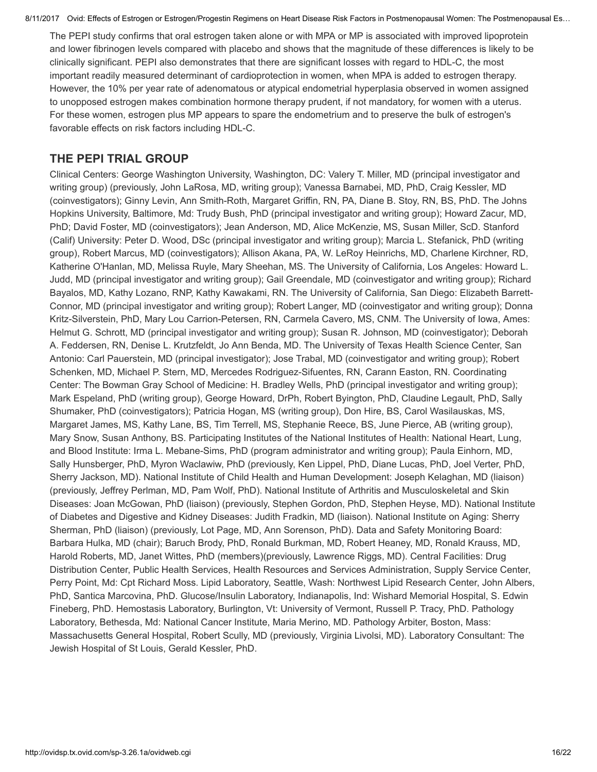The PEPI study confirms that oral estrogen taken alone or with MPA or MP is associated with improved lipoprotein and lower fibrinogen levels compared with placebo and shows that the magnitude of these differences is likely to be clinically significant. PEPI also demonstrates that there are significant losses with regard to HDL-C, the most important readily measured determinant of cardioprotection in women, when MPA is added to estrogen therapy. However, the 10% per year rate of adenomatous or atypical endometrial hyperplasia observed in women assigned to unopposed estrogen makes combination hormone therapy prudent, if not mandatory, for women with a uterus. For these women, estrogen plus MP appears to spare the endometrium and to preserve the bulk of estrogen's favorable effects on risk factors including HDL-C.

### THE PEPI TRIAL GROUP

Clinical Centers: George Washington University, Washington, DC: Valery T. Miller, MD (principal investigator and writing group) (previously, John LaRosa, MD, writing group); Vanessa Barnabei, MD, PhD, Craig Kessler, MD (coinvestigators); Ginny Levin, Ann Smith-Roth, Margaret Griffin, RN, PA, Diane B. Stoy, RN, BS, PhD. The Johns Hopkins University, Baltimore, Md: Trudy Bush, PhD (principal investigator and writing group); Howard Zacur, MD, PhD; David Foster, MD (coinvestigators); Jean Anderson, MD, Alice McKenzie, MS, Susan Miller, ScD. Stanford (Calif) University: Peter D. Wood, DSc (principal investigator and writing group); Marcia L. Stefanick, PhD (writing group), Robert Marcus, MD (coinvestigators); Allison Akana, PA, W. LeRoy Heinrichs, MD, Charlene Kirchner, RD, Katherine O'Hanlan, MD, Melissa Ruyle, Mary Sheehan, MS. The University of California, Los Angeles: Howard L. Judd, MD (principal investigator and writing group); Gail Greendale, MD (coinvestigator and writing group); Richard Bayalos, MD, Kathy Lozano, RNP, Kathy Kawakami, RN. The University of California, San Diego: Elizabeth Barrett-Connor, MD (principal investigator and writing group); Robert Langer, MD (coinvestigator and writing group); Donna Kritz-Silverstein, PhD, Mary Lou Carrion-Petersen, RN, Carmela Cavero, MS, CNM. The University of Iowa, Ames: Helmut G. Schrott, MD (principal investigator and writing group); Susan R. Johnson, MD (coinvestigator); Deborah A. Feddersen, RN, Denise L. Krutzfeldt, Jo Ann Benda, MD. The University of Texas Health Science Center, San Antonio: Carl Pauerstein, MD (principal investigator); Jose Trabal, MD (coinvestigator and writing group); Robert Schenken, MD, Michael P. Stern, MD, Mercedes Rodriguez-Sifuentes, RN, Carann Easton, RN. Coordinating Center: The Bowman Gray School of Medicine: H. Bradley Wells, PhD (principal investigator and writing group); Mark Espeland, PhD (writing group), George Howard, DrPh, Robert Byington, PhD, Claudine Legault, PhD, Sally Shumaker, PhD (coinvestigators); Patricia Hogan, MS (writing group), Don Hire, BS, Carol Wasilauskas, MS, Margaret James, MS, Kathy Lane, BS, Tim Terrell, MS, Stephanie Reece, BS, June Pierce, AB (writing group), Mary Snow, Susan Anthony, BS. Participating Institutes of the National Institutes of Health: National Heart, Lung, and Blood Institute: Irma L. Mebane-Sims, PhD (program administrator and writing group); Paula Einhorn, MD, Sally Hunsberger, PhD, Myron Waclawiw, PhD (previously, Ken Lippel, PhD, Diane Lucas, PhD, Joel Verter, PhD, Sherry Jackson, MD). National Institute of Child Health and Human Development: Joseph Kelaghan, MD (liaison) (previously, Jeffrey Perlman, MD, Pam Wolf, PhD). National Institute of Arthritis and Musculoskeletal and Skin Diseases: Joan McGowan, PhD (liaison) (previously, Stephen Gordon, PhD, Stephen Heyse, MD). National Institute of Diabetes and Digestive and Kidney Diseases: Judith Fradkin, MD (liaison). National Institute on Aging: Sherry Sherman, PhD (liaison) (previously, Lot Page, MD, Ann Sorenson, PhD). Data and Safety Monitoring Board: Barbara Hulka, MD (chair); Baruch Brody, PhD, Ronald Burkman, MD, Robert Heaney, MD, Ronald Krauss, MD, Harold Roberts, MD, Janet Wittes, PhD (members)(previously, Lawrence Riggs, MD). Central Facilities: Drug Distribution Center, Public Health Services, Health Resources and Services Administration, Supply Service Center, Perry Point, Md: Cpt Richard Moss. Lipid Laboratory, Seattle, Wash: Northwest Lipid Research Center, John Albers, PhD, Santica Marcovina, PhD. Glucose/Insulin Laboratory, Indianapolis, Ind: Wishard Memorial Hospital, S. Edwin Fineberg, PhD. Hemostasis Laboratory, Burlington, Vt: University of Vermont, Russell P. Tracy, PhD. Pathology Laboratory, Bethesda, Md: National Cancer Institute, Maria Merino, MD. Pathology Arbiter, Boston, Mass: Massachusetts General Hospital, Robert Scully, MD (previously, Virginia Livolsi, MD). Laboratory Consultant: The Jewish Hospital of St Louis, Gerald Kessler, PhD.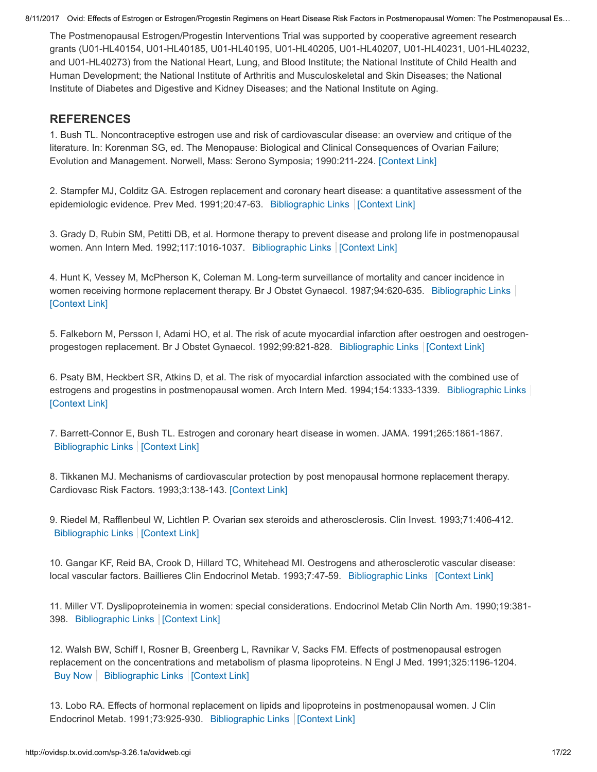The Postmenopausal Estrogen/Progestin Interventions Trial was supported by cooperative agreement research grants (U01-HL40154, U01-HL40185, U01-HL40195, U01-HL40205, U01-HL40207, U01-HL40231, U01-HL40232, and U01-HL40273) from the National Heart, Lung, and Blood Institute; the National Institute of Child Health and Human Development; the National Institute of Arthritis and Musculoskeletal and Skin Diseases; the National Institute of Diabetes and Digestive and Kidney Diseases; and the National Institute on Aging.

#### **REFERENCES**

<span id="page-16-0"></span>1. Bush TL. Noncontraceptive estrogen use and risk of cardiovascular disease: an overview and critique of the literature. In: Korenman SG, ed. The Menopause: Biological and Clinical Consequences of Ovarian Failure; Evolution and Management. Norwell, Mass: Serono Symposia; 1990:211-224. [\[Context](#page-1-0) Link]

2. Stampfer MJ, Colditz GA. Estrogen replacement and coronary heart disease: a quantitative assessment of the epidemiologic evidence. Prev Med. 1991;20:47-63. [Bibliographic](http://ovidsp.tx.ovid.com/sp-3.26.1a/ovidweb.cgi?Link+Set+Ref=00005407-199501180-00022|00006645_1991_20_47_stampfer_epidemiologic_%7c00005407-199501180-00022%23xpointer%28id%28R2-22%29%29%7c60%7c%7covftdb%7c&P=116&S=MLCHFPKBCFDDCHOJNCGKICJCAKLCAA00&WebLinkReturn=Full+Text%3dL%7cS.sh.27.28%7c0%7c00005407-199501180-00022) Links [\[Context](#page-1-0) Link]

<span id="page-16-7"></span>3. Grady D, Rubin SM, Petitti DB, et al. Hormone therapy to prevent disease and prolong life in postmenopausal women. Ann Intern Med. 1992;117:1016-1037. [Bibliographic](http://ovidsp.tx.ovid.com/sp-3.26.1a/ovidweb.cgi?Link+Set+Ref=00005407-199501180-00022|00000605_1992_117_1016_grady_postmenopausal_%7c00005407-199501180-00022%23xpointer%28id%28R3-22%29%29%7c60%7c%7covftdb%7c&P=117&S=MLCHFPKBCFDDCHOJNCGKICJCAKLCAA00&WebLinkReturn=Full+Text%3dL%7cS.sh.27.28%7c0%7c00005407-199501180-00022) Links [\[Context](#page-1-0) Link]

<span id="page-16-1"></span>4. Hunt K, Vessey M, McPherson K, Coleman M. Long-term surveillance of mortality and cancer incidence in women receiving hormone replacement therapy. Br J Obstet Gynaecol. 1987;94:620-635. [Bibliographic](http://ovidsp.tx.ovid.com/sp-3.26.1a/ovidweb.cgi?Link+Set+Ref=00005407-199501180-00022|00002382_1987_94_620_hunt_surveillance_%7c00005407-199501180-00022%23xpointer%28id%28R4-22%29%29%7c60%7c%7covftdb%7c&P=118&S=MLCHFPKBCFDDCHOJNCGKICJCAKLCAA00&WebLinkReturn=Full+Text%3dL%7cS.sh.27.28%7c0%7c00005407-199501180-00022) Links [\[Context](#page-1-0) Link]

5. Falkeborn M, Persson I, Adami HO, et al. The risk of acute myocardial infarction after oestrogen and oestrogenprogestogen replacement. Br J Obstet Gynaecol. 1992;99:821-828. [Bibliographic](http://ovidsp.tx.ovid.com/sp-3.26.1a/ovidweb.cgi?Link+Set+Ref=00005407-199501180-00022|00002382_1992_99_821_falkeborn_progestogen_%7c00005407-199501180-00022%23xpointer%28id%28R5-22%29%29%7c60%7c%7covftdb%7c&P=119&S=MLCHFPKBCFDDCHOJNCGKICJCAKLCAA00&WebLinkReturn=Full+Text%3dL%7cS.sh.27.28%7c0%7c00005407-199501180-00022) Links [\[Context](#page-1-0) Link]

6. Psaty BM, Heckbert SR, Atkins D, et al. The risk of myocardial infarction associated with the combined use of estrogens and progestins in postmenopausal women. Arch Intern Med. 1994;154:1333-1339. [Bibliographic](http://ovidsp.tx.ovid.com/sp-3.26.1a/ovidweb.cgi?Link+Set+Ref=00005407-199501180-00022|00000779_1994_154_1333_psaty_postmenopausal_%7c00005407-199501180-00022%23xpointer%28id%28R6-22%29%29%7c60%7c%7covftdb%7c&P=120&S=MLCHFPKBCFDDCHOJNCGKICJCAKLCAA00&WebLinkReturn=Full+Text%3dL%7cS.sh.27.28%7c0%7c00005407-199501180-00022) Links [\[Context](#page-1-0) Link]

<span id="page-16-2"></span>7. Barrett-Connor E, Bush TL. Estrogen and coronary heart disease in women. JAMA. 1991;265:1861-1867. [Bibliographic](http://ovidsp.tx.ovid.com/sp-3.26.1a/ovidweb.cgi?Link+Set+Ref=00005407-199501180-00022|00005407_1991_265_1861_barrett_estrogen_%7c00005407-199501180-00022%23xpointer%28id%28R7-22%29%29%7c60%7c%7covftdb%7c&P=121&S=MLCHFPKBCFDDCHOJNCGKICJCAKLCAA00&WebLinkReturn=Full+Text%3dL%7cS.sh.27.28%7c0%7c00005407-199501180-00022) Links | [\[Context](#page-1-1) Link]

<span id="page-16-4"></span>8. Tikkanen MJ. Mechanisms of cardiovascular protection by post menopausal hormone replacement therapy. Cardiovasc Risk Factors. 1993;3:138-143. [\[Context](#page-1-1) Link]

9. Riedel M, Rafflenbeul W, Lichtlen P. Ovarian sex steroids and atherosclerosis. Clin Invest. 1993;71:406-412. [Bibliographic](http://ovidsp.tx.ovid.com/sp-3.26.1a/ovidweb.cgi?Link+Set+Ref=00005407-199501180-00022|00008344_1993_71_406_riedel_atherosclerosis_%7c00005407-199501180-00022%23xpointer%28id%28R9-22%29%29%7c60%7c%7covftdb%7c&P=123&S=MLCHFPKBCFDDCHOJNCGKICJCAKLCAA00&WebLinkReturn=Full+Text%3dL%7cS.sh.27.28%7c0%7c00005407-199501180-00022) Links | [\[Context](#page-1-1) Link]

<span id="page-16-6"></span>10. Gangar KF, Reid BA, Crook D, Hillard TC, Whitehead MI. Oestrogens and atherosclerotic vascular disease: local vascular factors. Baillieres Clin Endocrinol Metab. 1993;7:47-59. [Bibliographic](http://ovidsp.tx.ovid.com/sp-3.26.1a/ovidweb.cgi?Link+Set+Ref=00005407-199501180-00022|00000942_1993_7_47_gangar_atherosclerotic_%7c00005407-199501180-00022%23xpointer%28id%28R10-22%29%29%7c60%7c%7covftdb%7c&P=124&S=MLCHFPKBCFDDCHOJNCGKICJCAKLCAA00&WebLinkReturn=Full+Text%3dL%7cS.sh.27.28%7c0%7c00005407-199501180-00022) Links [\[Context](#page-1-1) Link]

<span id="page-16-3"></span>11. Miller VT. Dyslipoproteinemia in women: special considerations. Endocrinol Metab Clin North Am. 1990;19:381- 398. [Bibliographic](http://ovidsp.tx.ovid.com/sp-3.26.1a/ovidweb.cgi?Link+Set+Ref=00005407-199501180-00022|00003631_1990_19_381_miller_dyslipoproteinemia_%7c00005407-199501180-00022%23xpointer%28id%28R11-22%29%29%7c60%7c%7covftdb%7c&P=125&S=MLCHFPKBCFDDCHOJNCGKICJCAKLCAA00&WebLinkReturn=Full+Text%3dL%7cS.sh.27.28%7c0%7c00005407-199501180-00022) Links [\[Context](#page-1-1) Link]

12. Walsh BW, Schiff I, Rosner B, Greenberg L, Ravnikar V, Sacks FM. Effects of postmenopausal estrogen replacement on the concentrations and metabolism of plasma lipoproteins. N Engl J Med. 1991;325:1196-1204. Buy [Now](http://ovidsp.tx.ovid.com/sp-3.26.1a/ovidweb.cgi?Link+Set+Ref=00005407-199501180-00022|00006024_1991_325_1196_walsh_postmenopausal_%7c00005407-199501180-00022%23xpointer%28id%28R12-22%29%29%7c25%7c%7covftdb%7c00006024-199110240-00002&P=126&S=MLCHFPKBCFDDCHOJNCGKICJCAKLCAA00&WebLinkReturn=Full+Text%3dL%7cS.sh.27.28%7c0%7c00005407-199501180-00022) | [Bibliographic](http://ovidsp.tx.ovid.com/sp-3.26.1a/ovidweb.cgi?Link+Set+Ref=00005407-199501180-00022|00006024_1991_325_1196_walsh_postmenopausal_%7c00005407-199501180-00022%23xpointer%28id%28R12-22%29%29%7c60%7c%7covftdb%7c00006024-199110240-00002&P=126&S=MLCHFPKBCFDDCHOJNCGKICJCAKLCAA00&WebLinkReturn=Full+Text%3dL%7cS.sh.27.28%7c0%7c00005407-199501180-00022) Links | [\[Context](#page-1-1) Link]

<span id="page-16-5"></span>13. Lobo RA. Effects of hormonal replacement on lipids and lipoproteins in postmenopausal women. J Clin Endocrinol Metab. 1991;73:925-930. [Bibliographic](http://ovidsp.tx.ovid.com/sp-3.26.1a/ovidweb.cgi?Link+Set+Ref=00005407-199501180-00022|00004678_1991_73_925_lobo_postmenopausal_%7c00005407-199501180-00022%23xpointer%28id%28R13-22%29%29%7c60%7c%7covftdb%7c&P=127&S=MLCHFPKBCFDDCHOJNCGKICJCAKLCAA00&WebLinkReturn=Full+Text%3dL%7cS.sh.27.28%7c0%7c00005407-199501180-00022) Links | [\[Context](#page-1-1) Link]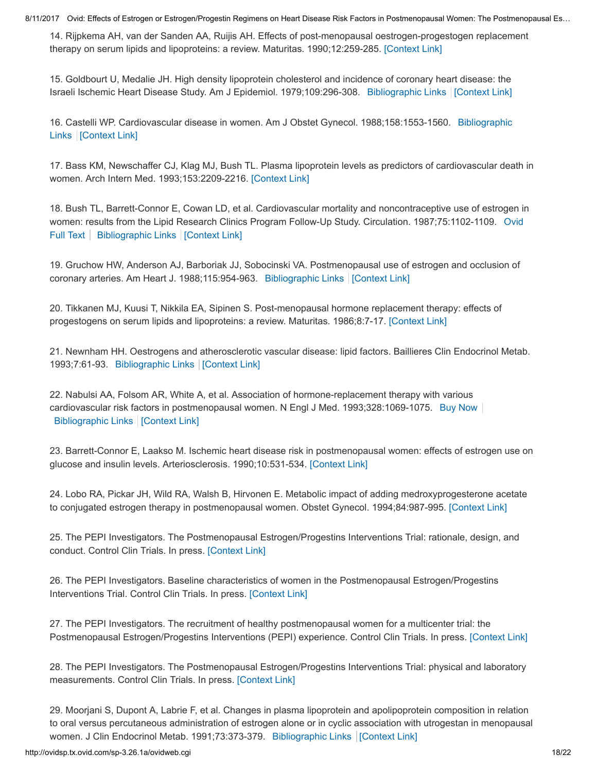14. Rijpkema AH, van der Sanden AA, Ruijis AH. Effects of post-menopausal oestrogen-progestogen replacement therapy on serum lipids and lipoproteins: a review. Maturitas. 1990;12:259-285. [\[Context](#page-1-1) Link]

<span id="page-17-0"></span>15. Goldbourt U, Medalie JH. High density lipoprotein cholesterol and incidence of coronary heart disease: the Israeli Ischemic Heart Disease Study. Am J Epidemiol. 1979;109:296-308. [Bibliographic](http://ovidsp.tx.ovid.com/sp-3.26.1a/ovidweb.cgi?Link+Set+Ref=00005407-199501180-00022|00000429_1979_109_296_goldbourt_lipoprotein_%7c00005407-199501180-00022%23xpointer%28id%28R15-22%29%29%7c60%7c%7covftdb%7c&P=129&S=MLCHFPKBCFDDCHOJNCGKICJCAKLCAA00&WebLinkReturn=Full+Text%3dL%7cS.sh.27.28%7c0%7c00005407-199501180-00022) Links [\[Context](#page-1-1) Link]

16. Castelli WP. Cardiovascular disease in women. Am J Obstet Gynecol. [1988;158:1553-1560.](http://ovidsp.tx.ovid.com/sp-3.26.1a/ovidweb.cgi?Link+Set+Ref=00005407-199501180-00022|00000447_1988_158_1553_castelli_cardiovascular_%7c00005407-199501180-00022%23xpointer%28id%28R16-22%29%29%7c60%7c%7covftdb%7c&P=130&S=MLCHFPKBCFDDCHOJNCGKICJCAKLCAA00&WebLinkReturn=Full+Text%3dL%7cS.sh.27.28%7c0%7c00005407-199501180-00022) Bibliographic Links [\[Context](#page-1-1) Link]

17. Bass KM, Newschaffer CJ, Klag MJ, Bush TL. Plasma lipoprotein levels as predictors of cardiovascular death in women. Arch Intern Med. 1993;153:2209-2216. [\[Context](#page-1-1) Link]

<span id="page-17-1"></span>18. Bush TL, Barrett-Connor E, Cowan LD, et al. Cardiovascular mortality and noncontraceptive use of estrogen in women: results from the Lipid Research Clinics Program Follow-Up Study. Circulation. [1987;75:1102-1109.](http://ovidsp.tx.ovid.com/sp-3.26.1a/ovidweb.cgi?Link+Set+Ref=00005407-199501180-00022|00003017_1987_75_1102_bush_noncontraceptive_%7c00005407-199501180-00022%23xpointer%28id%28R18-22%29%29%7c10%7c%7covftdb%7c00003017-198706000-00003&P=132&S=MLCHFPKBCFDDCHOJNCGKICJCAKLCAA00&WebLinkReturn=Full+Text%3dL%7cS.sh.27.28%7c0%7c00005407-199501180-00022) Ovid Full Text | [Bibliographic](http://ovidsp.tx.ovid.com/sp-3.26.1a/ovidweb.cgi?Link+Set+Ref=00005407-199501180-00022|00003017_1987_75_1102_bush_noncontraceptive_%7c00005407-199501180-00022%23xpointer%28id%28R18-22%29%29%7c60%7c%7covftdb%7c00003017-198706000-00003&P=132&S=MLCHFPKBCFDDCHOJNCGKICJCAKLCAA00&WebLinkReturn=Full+Text%3dL%7cS.sh.27.28%7c0%7c00005407-199501180-00022) Links | [\[Context](#page-1-1) Link]

19. Gruchow HW, Anderson AJ, Barboriak JJ, Sobocinski VA. Postmenopausal use of estrogen and occlusion of coronary arteries. Am Heart J. 1988;115:954-963. [Bibliographic](http://ovidsp.tx.ovid.com/sp-3.26.1a/ovidweb.cgi?Link+Set+Ref=00005407-199501180-00022|00000406_1988_115_954_gruchow_postmenopausal_%7c00005407-199501180-00022%23xpointer%28id%28R19-22%29%29%7c60%7c%7covftdb%7c&P=133&S=MLCHFPKBCFDDCHOJNCGKICJCAKLCAA00&WebLinkReturn=Full+Text%3dL%7cS.sh.27.28%7c0%7c00005407-199501180-00022) Links | [\[Context](#page-1-1) Link]

<span id="page-17-2"></span>20. Tikkanen MJ, Kuusi T, Nikkila EA, Sipinen S. Post-menopausal hormone replacement therapy: effects of progestogens on serum lipids and lipoproteins: a review. Maturitas. 1986;8:7-17. [\[Context](#page-1-2) Link]

21. Newnham HH. Oestrogens and atherosclerotic vascular disease: lipid factors. Baillieres Clin Endocrinol Metab. 1993;7:61-93. [Bibliographic](http://ovidsp.tx.ovid.com/sp-3.26.1a/ovidweb.cgi?Link+Set+Ref=00005407-199501180-00022|00000942_1993_7_61_newnham_atherosclerotic_%7c00005407-199501180-00022%23xpointer%28id%28R21-22%29%29%7c60%7c%7covftdb%7c&P=135&S=MLCHFPKBCFDDCHOJNCGKICJCAKLCAA00&WebLinkReturn=Full+Text%3dL%7cS.sh.27.28%7c0%7c00005407-199501180-00022) Links | [\[Context](#page-1-2) Link]

<span id="page-17-3"></span>22. Nabulsi AA, Folsom AR, White A, et al. Association of hormone-replacement therapy with various cardiovascular risk factors in postmenopausal women. N Engl J Med. 1993;328:1069-1075. Buy [Now](http://ovidsp.tx.ovid.com/sp-3.26.1a/ovidweb.cgi?Link+Set+Ref=00005407-199501180-00022|00006024_1993_328_1069_nabulsi_cardiovascular_%7c00005407-199501180-00022%23xpointer%28id%28R22-22%29%29%7c25%7c%7covftdb%7c00006024-199304150-00001&P=136&S=MLCHFPKBCFDDCHOJNCGKICJCAKLCAA00&WebLinkReturn=Full+Text%3dL%7cS.sh.27.28%7c0%7c00005407-199501180-00022) [Bibliographic](http://ovidsp.tx.ovid.com/sp-3.26.1a/ovidweb.cgi?Link+Set+Ref=00005407-199501180-00022|00006024_1993_328_1069_nabulsi_cardiovascular_%7c00005407-199501180-00022%23xpointer%28id%28R22-22%29%29%7c60%7c%7covftdb%7c00006024-199304150-00001&P=136&S=MLCHFPKBCFDDCHOJNCGKICJCAKLCAA00&WebLinkReturn=Full+Text%3dL%7cS.sh.27.28%7c0%7c00005407-199501180-00022) Links | [\[Context](#page-1-2) Link]

<span id="page-17-9"></span>23. Barrett-Connor E, Laakso M. Ischemic heart disease risk in postmenopausal women: effects of estrogen use on glucose and insulin levels. Arteriosclerosis. 1990;10:531-534. [\[Context](#page-1-2) Link]

<span id="page-17-4"></span>24. Lobo RA, Pickar JH, Wild RA, Walsh B, Hirvonen E. Metabolic impact of adding medroxyprogesterone acetate to conjugated estrogen therapy in postmenopausal women. Obstet Gynecol. 1994;84:987-995. [\[Context](#page-1-2) Link]

<span id="page-17-5"></span>25. The PEPI Investigators. The Postmenopausal Estrogen/Progestins Interventions Trial: rationale, design, and conduct. Control Clin Trials. In press. [\[Context](#page-2-1) Link]

<span id="page-17-8"></span>26. The PEPI Investigators. Baseline characteristics of women in the Postmenopausal Estrogen/Progestins Interventions Trial. Control Clin Trials. In press. [\[Context](#page-2-1) Link]

<span id="page-17-7"></span>27. The PEPI Investigators. The recruitment of healthy postmenopausal women for a multicenter trial: the Postmenopausal Estrogen/Progestins Interventions (PEPI) experience. Control Clin Trials. In press. [\[Context](#page-2-1) Link]

28. The PEPI Investigators. The Postmenopausal Estrogen/Progestins Interventions Trial: physical and laboratory measurements. Control Clin Trials. In press. [\[Context](#page-2-1) Link]

<span id="page-17-6"></span>29. Moorjani S, Dupont A, Labrie F, et al. Changes in plasma lipoprotein and apolipoprotein composition in relation to oral versus percutaneous administration of estrogen alone or in cyclic association with utrogestan in menopausal women. J Clin Endocrinol Metab. 1991;73:373-379. [Bibliographic](http://ovidsp.tx.ovid.com/sp-3.26.1a/ovidweb.cgi?Link+Set+Ref=00005407-199501180-00022|00004678_1991_73_373_moorjani_apolipoprotein_%7c00005407-199501180-00022%23xpointer%28id%28R29-22%29%29%7c60%7c%7covftdb%7c&P=143&S=MLCHFPKBCFDDCHOJNCGKICJCAKLCAA00&WebLinkReturn=Full+Text%3dL%7cS.sh.27.28%7c0%7c00005407-199501180-00022) Links [\[Context](#page-2-1) Link]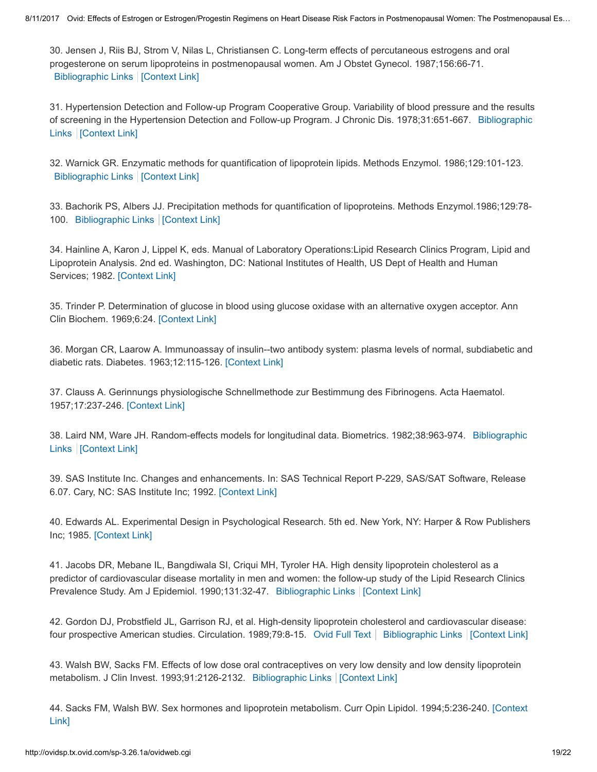30. Jensen J, Riis BJ, Strom V, Nilas L, Christiansen C. Long-term effects of percutaneous estrogens and oral progesterone on serum lipoproteins in postmenopausal women. Am J Obstet Gynecol. 1987;156:66-71. [Bibliographic](http://ovidsp.tx.ovid.com/sp-3.26.1a/ovidweb.cgi?Link+Set+Ref=00005407-199501180-00022|00000447_1987_156_66_jensen_postmenopausal_%7c00005407-199501180-00022%23xpointer%28id%28R30-22%29%29%7c60%7c%7covftdb%7c&P=144&S=MLCHFPKBCFDDCHOJNCGKICJCAKLCAA00&WebLinkReturn=Full+Text%3dL%7cS.sh.27.28%7c0%7c00005407-199501180-00022) Links | [\[Context](#page-2-1) Link]

<span id="page-18-0"></span>31. Hypertension Detection and Follow-up Program Cooperative Group. Variability of blood pressure and the results of screening in the Hypertension Detection and Follow-up Program. J Chronic Dis. [1978;31:651-667.](http://ovidsp.tx.ovid.com/sp-3.26.1a/ovidweb.cgi?Link+Set+Ref=00005407-199501180-00022|00004676_1978_31_651_anonymous_hypertension_%7c00005407-199501180-00022%23xpointer%28id%28R31-22%29%29%7c60%7c%7covftdb%7c&P=145&S=MLCHFPKBCFDDCHOJNCGKICJCAKLCAA00&WebLinkReturn=Full+Text%3dL%7cS.sh.27.28%7c0%7c00005407-199501180-00022) Bibliographic Links [\[Context](#page-3-0) Link]

<span id="page-18-1"></span>32. Warnick GR. Enzymatic methods for quantification of lipoprotein lipids. Methods Enzymol. 1986;129:101-123. [Bibliographic](http://ovidsp.tx.ovid.com/sp-3.26.1a/ovidweb.cgi?Link+Set+Ref=00005407-199501180-00022|00005828_1986_129_101_warnick_quantification_%7c00005407-199501180-00022%23xpointer%28id%28R32-22%29%29%7c60%7c%7covftdb%7c&P=146&S=MLCHFPKBCFDDCHOJNCGKICJCAKLCAA00&WebLinkReturn=Full+Text%3dL%7cS.sh.27.28%7c0%7c00005407-199501180-00022) Links | [\[Context](#page-3-1) Link]

<span id="page-18-2"></span>33. Bachorik PS, Albers JJ. Precipitation methods for quantification of lipoproteins. Methods Enzymol.1986;129:78- 100. [Bibliographic](http://ovidsp.tx.ovid.com/sp-3.26.1a/ovidweb.cgi?Link+Set+Ref=00005407-199501180-00022|00005828_1986_129_78_bachorik_quantification_%7c00005407-199501180-00022%23xpointer%28id%28R33-22%29%29%7c60%7c%7covftdb%7c&P=147&S=MLCHFPKBCFDDCHOJNCGKICJCAKLCAA00&WebLinkReturn=Full+Text%3dL%7cS.sh.27.28%7c0%7c00005407-199501180-00022) Links [\[Context](#page-3-1) Link]

<span id="page-18-3"></span>34. Hainline A, Karon J, Lippel K, eds. Manual of Laboratory Operations:Lipid Research Clinics Program, Lipid and Lipoprotein Analysis. 2nd ed. Washington, DC: National Institutes of Health, US Dept of Health and Human Services; 1982. [\[Context](#page-3-1) Link]

<span id="page-18-4"></span>35. Trinder P. Determination of glucose in blood using glucose oxidase with an alternative oxygen acceptor. Ann Clin Biochem. 1969;6:24. [\[Context](#page-4-2) Link]

<span id="page-18-5"></span>36. Morgan CR, Laarow A. Immunoassay of insulin--two antibody system: plasma levels of normal, subdiabetic and diabetic rats. Diabetes. 1963;12:115-126. [\[Context](#page-4-3) Link]

<span id="page-18-6"></span>37. Clauss A. Gerinnungs physiologische Schnellmethode zur Bestimmung des Fibrinogens. Acta Haematol. 1957;17:237-246. [\[Context](#page-4-4) Link]

<span id="page-18-7"></span>38. Laird NM, Ware JH. Random-effects models for longitudinal data. Biometrics. [1982;38:963-974.](http://ovidsp.tx.ovid.com/sp-3.26.1a/ovidweb.cgi?Link+Set+Ref=00005407-199501180-00022|00001726_1982_38_963_laird_longitudinal_%7c00005407-199501180-00022%23xpointer%28id%28R38-22%29%29%7c60%7c%7covftdb%7c&P=152&S=MLCHFPKBCFDDCHOJNCGKICJCAKLCAA00&WebLinkReturn=Full+Text%3dL%7cS.sh.27.28%7c0%7c00005407-199501180-00022) Bibliographic Links | [\[Context](#page-4-5) Link]

<span id="page-18-8"></span>39. SAS Institute Inc. Changes and enhancements. In: SAS Technical Report P-229, SAS/SAT Software, Release 6.07. Cary, NC: SAS Institute Inc; 1992. [\[Context](#page-4-5) Link]

<span id="page-18-9"></span>40. Edwards AL. Experimental Design in Psychological Research. 5th ed. New York, NY: Harper & Row Publishers Inc; 1985. [\[Context](#page-4-6) Link]

<span id="page-18-10"></span>41. Jacobs DR, Mebane IL, Bangdiwala SI, Criqui MH, Tyroler HA. High density lipoprotein cholesterol as a predictor of cardiovascular disease mortality in men and women: the follow-up study of the Lipid Research Clinics Prevalence Study. Am J Epidemiol. 1990;131:32-47. [Bibliographic](http://ovidsp.tx.ovid.com/sp-3.26.1a/ovidweb.cgi?Link+Set+Ref=00005407-199501180-00022|00000429_1990_131_32_jacobs_cardiovascular_%7c00005407-199501180-00022%23xpointer%28id%28R41-22%29%29%7c60%7c%7covftdb%7c&P=155&S=MLCHFPKBCFDDCHOJNCGKICJCAKLCAA00&WebLinkReturn=Full+Text%3dL%7cS.sh.27.28%7c0%7c00005407-199501180-00022) Links | [\[Context](#page-12-0) Link]

<span id="page-18-11"></span>42. Gordon DJ, Probstfield JL, Garrison RJ, et al. High-density lipoprotein cholesterol and cardiovascular disease: four prospective American studies. Circulation. 1989;79:8-15. [Ovid](http://ovidsp.tx.ovid.com/sp-3.26.1a/ovidweb.cgi?Link+Set+Ref=00005407-199501180-00022|00003017_1989_79_8_gordon_cardiovascular_%7c00005407-199501180-00022%23xpointer%28id%28R42-22%29%29%7c10%7c%7covftdb%7c00003017-198901000-00002&P=156&S=MLCHFPKBCFDDCHOJNCGKICJCAKLCAA00&WebLinkReturn=Full+Text%3dL%7cS.sh.27.28%7c0%7c00005407-199501180-00022) Full Text | [Bibliographic](http://ovidsp.tx.ovid.com/sp-3.26.1a/ovidweb.cgi?Link+Set+Ref=00005407-199501180-00022|00003017_1989_79_8_gordon_cardiovascular_%7c00005407-199501180-00022%23xpointer%28id%28R42-22%29%29%7c60%7c%7covftdb%7c00003017-198901000-00002&P=156&S=MLCHFPKBCFDDCHOJNCGKICJCAKLCAA00&WebLinkReturn=Full+Text%3dL%7cS.sh.27.28%7c0%7c00005407-199501180-00022) Links | [\[Context](#page-12-0) Link]

<span id="page-18-12"></span>43. Walsh BW, Sacks FM. Effects of low dose oral contraceptives on very low density and low density lipoprotein metabolism. J Clin Invest. 1993;91:2126-2132. [Bibliographic](http://ovidsp.tx.ovid.com/sp-3.26.1a/ovidweb.cgi?Link+Set+Ref=00005407-199501180-00022|00004686_1993_91_2126_walsh_contraceptives_%7c00005407-199501180-00022%23xpointer%28id%28R43-22%29%29%7c60%7c%7covftdb%7c00004686-199305000-00039&P=157&S=MLCHFPKBCFDDCHOJNCGKICJCAKLCAA00&WebLinkReturn=Full+Text%3dL%7cS.sh.27.28%7c0%7c00005407-199501180-00022) Links [\[Context](#page-12-1) Link]

44. Sacks FM, Walsh BW. Sex hormones and lipoprotein metabolism. Curr Opin Lipidol. [1994;5:236-240.](#page-12-1) [Context Link]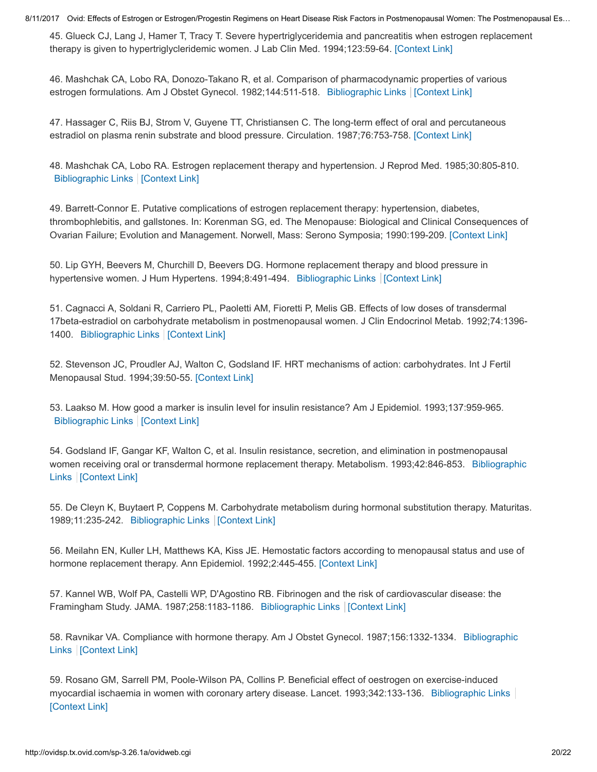<span id="page-19-0"></span>45. Glueck CJ, Lang J, Hamer T, Tracy T. Severe hypertriglyceridemia and pancreatitis when estrogen replacement therapy is given to hypertriglycleridemic women. J Lab Clin Med. 1994;123:59-64. [\[Context](#page-12-1) Link]

<span id="page-19-1"></span>46. Mashchak CA, Lobo RA, Donozo-Takano R, et al. Comparison of pharmacodynamic properties of various estrogen formulations. Am J Obstet Gynecol. 1982;144:511-518. [Bibliographic](http://ovidsp.tx.ovid.com/sp-3.26.1a/ovidweb.cgi?Link+Set+Ref=00005407-199501180-00022|00000447_1982_144_511_mashchak_pharmacodynamic_%7c00005407-199501180-00022%23xpointer%28id%28R46-22%29%29%7c60%7c%7covftdb%7c&P=160&S=MLCHFPKBCFDDCHOJNCGKICJCAKLCAA00&WebLinkReturn=Full+Text%3dL%7cS.sh.27.28%7c0%7c00005407-199501180-00022) Links [\[Context](#page-12-2) Link]

47. Hassager C, Riis BJ, Strom V, Guyene TT, Christiansen C. The long-term effect of oral and percutaneous estradiol on plasma renin substrate and blood pressure. Circulation. 1987;76:753-758. [\[Context](#page-12-2) Link]

<span id="page-19-2"></span>48. Mashchak CA, Lobo RA. Estrogen replacement therapy and hypertension. J Reprod Med. 1985;30:805-810. [Bibliographic](http://ovidsp.tx.ovid.com/sp-3.26.1a/ovidweb.cgi?Link+Set+Ref=00005407-199501180-00022|00005300_1985_30_805_mashchak_hypertension_%7c00005407-199501180-00022%23xpointer%28id%28R48-22%29%29%7c60%7c%7covftdb%7c&P=162&S=MLCHFPKBCFDDCHOJNCGKICJCAKLCAA00&WebLinkReturn=Full+Text%3dL%7cS.sh.27.28%7c0%7c00005407-199501180-00022) Links | [\[Context](#page-12-2) Link]

<span id="page-19-4"></span>49. Barrett-Connor E. Putative complications of estrogen replacement therapy: hypertension, diabetes, thrombophlebitis, and gallstones. In: Korenman SG, ed. The Menopause: Biological and Clinical Consequences of Ovarian Failure; Evolution and Management. Norwell, Mass: Serono Symposia; 1990:199-209. [\[Context](#page-12-2) Link]

<span id="page-19-3"></span>50. Lip GYH, Beevers M, Churchill D, Beevers DG. Hormone replacement therapy and blood pressure in hypertensive women. J Hum Hypertens. 1994;8:491-494. [Bibliographic](http://ovidsp.tx.ovid.com/sp-3.26.1a/ovidweb.cgi?Link+Set+Ref=00005407-199501180-00022|00005309_1994_8_491_lip_hypertensive_%7c00005407-199501180-00022%23xpointer%28id%28R50-22%29%29%7c60%7c%7covftdb%7c&P=164&S=MLCHFPKBCFDDCHOJNCGKICJCAKLCAA00&WebLinkReturn=Full+Text%3dL%7cS.sh.27.28%7c0%7c00005407-199501180-00022) Links [\[Context](#page-12-3) Link]

<span id="page-19-6"></span>51. Cagnacci A, Soldani R, Carriero PL, Paoletti AM, Fioretti P, Melis GB. Effects of low doses of transdermal 17beta-estradiol on carbohydrate metabolism in postmenopausal women. J Clin Endocrinol Metab. 1992;74:1396- 1400. [Bibliographic](http://ovidsp.tx.ovid.com/sp-3.26.1a/ovidweb.cgi?Link+Set+Ref=00005407-199501180-00022|00004678_1992_74_1396_cagnacci_postmenopausal_%7c00005407-199501180-00022%23xpointer%28id%28R51-22%29%29%7c60%7c%7covftdb%7c&P=165&S=MLCHFPKBCFDDCHOJNCGKICJCAKLCAA00&WebLinkReturn=Full+Text%3dL%7cS.sh.27.28%7c0%7c00005407-199501180-00022) Links | [\[Context](#page-12-4) Link]

<span id="page-19-8"></span>52. Stevenson JC, Proudler AJ, Walton C, Godsland IF. HRT mechanisms of action: carbohydrates. Int J Fertil Menopausal Stud. 1994;39:50-55. [\[Context](#page-12-5) Link]

<span id="page-19-5"></span>53. Laakso M. How good a marker is insulin level for insulin resistance? Am J Epidemiol. 1993;137:959-965. [Bibliographic](http://ovidsp.tx.ovid.com/sp-3.26.1a/ovidweb.cgi?Link+Set+Ref=00005407-199501180-00022|00000429_1993_137_959_laakso_resistance_%7c00005407-199501180-00022%23xpointer%28id%28R53-22%29%29%7c60%7c%7covftdb%7c&P=167&S=MLCHFPKBCFDDCHOJNCGKICJCAKLCAA00&WebLinkReturn=Full+Text%3dL%7cS.sh.27.28%7c0%7c00005407-199501180-00022) Links | [\[Context](#page-13-0) Link]

<span id="page-19-7"></span>54. Godsland IF, Gangar KF, Walton C, et al. Insulin resistance, secretion, and elimination in postmenopausal women receiving oral or transdermal hormone replacement therapy. Metabolism. [1993;42:846-853.](http://ovidsp.tx.ovid.com/sp-3.26.1a/ovidweb.cgi?Link+Set+Ref=00005407-199501180-00022|00005822_1993_42_846_godsland_postmenopausal_%7c00005407-199501180-00022%23xpointer%28id%28R54-22%29%29%7c60%7c%7covftdb%7c&P=168&S=MLCHFPKBCFDDCHOJNCGKICJCAKLCAA00&WebLinkReturn=Full+Text%3dL%7cS.sh.27.28%7c0%7c00005407-199501180-00022) Bibliographic Links [\[Context](#page-13-0) Link]

55. De Cleyn K, Buytaert P, Coppens M. Carbohydrate metabolism during hormonal substitution therapy. Maturitas. 1989;11:235-242. [Bibliographic](http://ovidsp.tx.ovid.com/sp-3.26.1a/ovidweb.cgi?Link+Set+Ref=00005407-199501180-00022|00005835_1989_11_235_cleyn_carbohydrate_%7c00005407-199501180-00022%23xpointer%28id%28R55-22%29%29%7c60%7c%7covftdb%7c&P=169&S=MLCHFPKBCFDDCHOJNCGKICJCAKLCAA00&WebLinkReturn=Full+Text%3dL%7cS.sh.27.28%7c0%7c00005407-199501180-00022) Links [\[Context](#page-13-0) Link]

56. Meilahn EN, Kuller LH, Matthews KA, Kiss JE. Hemostatic factors according to menopausal status and use of hormone replacement therapy. Ann Epidemiol. 1992;2:445-455. [\[Context](#page-13-1) Link]

<span id="page-19-9"></span>57. Kannel WB, Wolf PA, Castelli WP, D'Agostino RB. Fibrinogen and the risk of cardiovascular disease: the Framingham Study. JAMA. 1987;258:1183-1186. [Bibliographic](http://ovidsp.tx.ovid.com/sp-3.26.1a/ovidweb.cgi?Link+Set+Ref=00005407-199501180-00022|00005407_1987_258_1183_kannel_cardiovascular_%7c00005407-199501180-00022%23xpointer%28id%28R57-22%29%29%7c60%7c%7covftdb%7c&P=171&S=MLCHFPKBCFDDCHOJNCGKICJCAKLCAA00&WebLinkReturn=Full+Text%3dL%7cS.sh.27.28%7c0%7c00005407-199501180-00022) Links | [\[Context](#page-13-1) Link]

<span id="page-19-10"></span>58. Ravnikar VA. Compliance with hormone therapy. Am J Obstet Gynecol. [1987;156:1332-1334.](http://ovidsp.tx.ovid.com/sp-3.26.1a/ovidweb.cgi?Link+Set+Ref=00005407-199501180-00022|00000447_1987_156_1332_ravnikar_compliance_%7c00005407-199501180-00022%23xpointer%28id%28R58-22%29%29%7c60%7c%7covftdb%7c&P=172&S=MLCHFPKBCFDDCHOJNCGKICJCAKLCAA00&WebLinkReturn=Full+Text%3dL%7cS.sh.27.28%7c0%7c00005407-199501180-00022) Bibliographic Links [\[Context](#page-13-2) Link]

59. Rosano GM, Sarrell PM, Poole-Wilson PA, Collins P. Beneficial effect of oestrogen on exercise-induced myocardial ischaemia in women with coronary artery disease. Lancet. 1993;342:133-136. [Bibliographic](http://ovidsp.tx.ovid.com/sp-3.26.1a/ovidweb.cgi?Link+Set+Ref=00005407-199501180-00022|00005531_1993_342_133_rosano_beneficial_%7c00005407-199501180-00022%23xpointer%28id%28R59-22%29%29%7c60%7c%7covftdb%7c00005531-199307170-00009&P=173&S=MLCHFPKBCFDDCHOJNCGKICJCAKLCAA00&WebLinkReturn=Full+Text%3dL%7cS.sh.27.28%7c0%7c00005407-199501180-00022) Links [\[Context](#page-14-1) Link]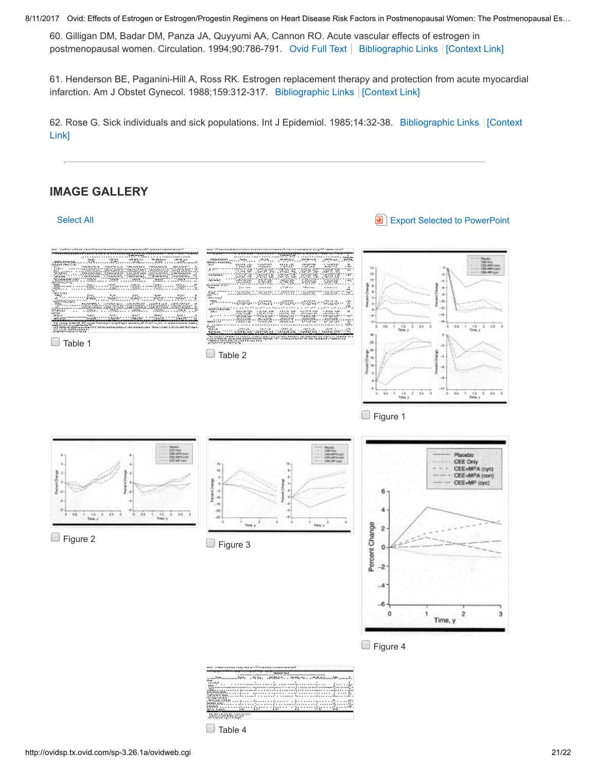60. Gilligan DM, Badar DM, Panza JA, Quyyumi AA, Cannon RO. Acute vascular effects of estrogen in postmenopausal women. Circulation. 1994;90:786-791. [Ovid](http://ovidsp.tx.ovid.com/sp-3.26.1a/ovidweb.cgi?Link+Set+Ref=00005407-199501180-00022|00003017_1994_90_786_gilligan_postmenopausal_%7c00005407-199501180-00022%23xpointer%28id%28R60-22%29%29%7c10%7c%7covftdb%7c00003017-199408000-00021&P=174&S=MLCHFPKBCFDDCHOJNCGKICJCAKLCAA00&WebLinkReturn=Full+Text%3dL%7cS.sh.27.28%7c0%7c00005407-199501180-00022) Full Text | [Bibliographic](http://ovidsp.tx.ovid.com/sp-3.26.1a/ovidweb.cgi?Link+Set+Ref=00005407-199501180-00022|00003017_1994_90_786_gilligan_postmenopausal_%7c00005407-199501180-00022%23xpointer%28id%28R60-22%29%29%7c60%7c%7covftdb%7c00003017-199408000-00021&P=174&S=MLCHFPKBCFDDCHOJNCGKICJCAKLCAA00&WebLinkReturn=Full+Text%3dL%7cS.sh.27.28%7c0%7c00005407-199501180-00022) Links | [\[Context](#page-14-1) Link]

<span id="page-20-0"></span>61. Henderson BE, Paganini-Hill A, Ross RK. Estrogen replacement therapy and protection from acute myocardial infarction. Am J Obstet Gynecol. 1988;159:312-317. [Bibliographic](http://ovidsp.tx.ovid.com/sp-3.26.1a/ovidweb.cgi?Link+Set+Ref=00005407-199501180-00022|00000447_1988_159_312_henderson_replacement_%7c00005407-199501180-00022%23xpointer%28id%28R61-22%29%29%7c60%7c%7covftdb%7c&P=175&S=MLCHFPKBCFDDCHOJNCGKICJCAKLCAA00&WebLinkReturn=Full+Text%3dL%7cS.sh.27.28%7c0%7c00005407-199501180-00022) Links [\[Context](#page-14-1) Link]

<span id="page-20-1"></span>62. Rose G. Sick individuals and sick populations. Int J Epidemiol. [1985;14:32-38.](#page-14-2) [Bibliographic](http://ovidsp.tx.ovid.com/sp-3.26.1a/ovidweb.cgi?Link+Set+Ref=00005407-199501180-00022|00004345_1985_14_32_rose_individuals_%7c00005407-199501180-00022%23xpointer%28id%28R62-22%29%29%7c60%7c%7covftdb%7c&P=176&S=MLCHFPKBCFDDCHOJNCGKICJCAKLCAA00&WebLinkReturn=Full+Text%3dL%7cS.sh.27.28%7c0%7c00005407-199501180-00022) Links [Context Link]

#### IMAGE GALLERY

#### [Select](http://ovidsp.tx.ovid.com/sp-3.26.1a/ovidweb.cgi?&S=MLCHFPKBCFDDCHOJNCGKICJCAKLCAA00&Full+Text=L%7cS.sh.27.28%7c0%7c00005407-199501180-00022&image_gallery_select=selectall&resultset=S.sh.27%7c1) All **Export Selected to PowerPoint** Selected to PowerPoint